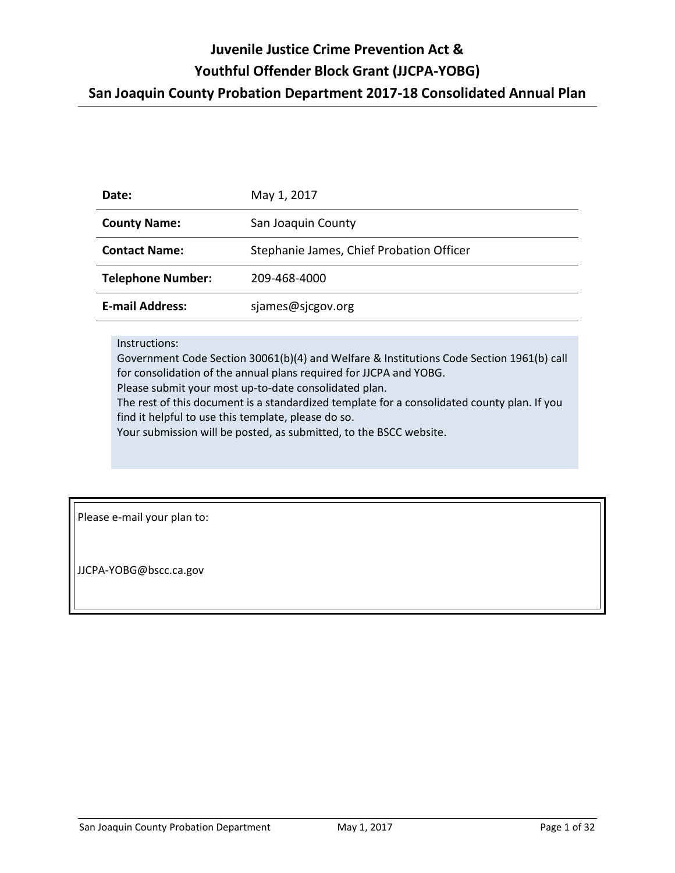| Date:                    | May 1, 2017                              |  |
|--------------------------|------------------------------------------|--|
| <b>County Name:</b>      | San Joaquin County                       |  |
| <b>Contact Name:</b>     | Stephanie James, Chief Probation Officer |  |
| <b>Telephone Number:</b> | 209-468-4000                             |  |
| <b>E-mail Address:</b>   | sjames@sjcgov.org                        |  |

### Instructions:

Government Code Section 30061(b)(4) and Welfare & Institutions Code Section 1961(b) call for consolidation of the annual plans required for JJCPA and YOBG.

Please submit your most up-to-date consolidated plan.

The rest of this document is a standardized template for a consolidated county plan. If you find it helpful to use this template, please do so.

Your submission will be posted, as submitted, to the BSCC website.

Please e-mail your plan to:

JJCPA-YOBG@bscc.ca.gov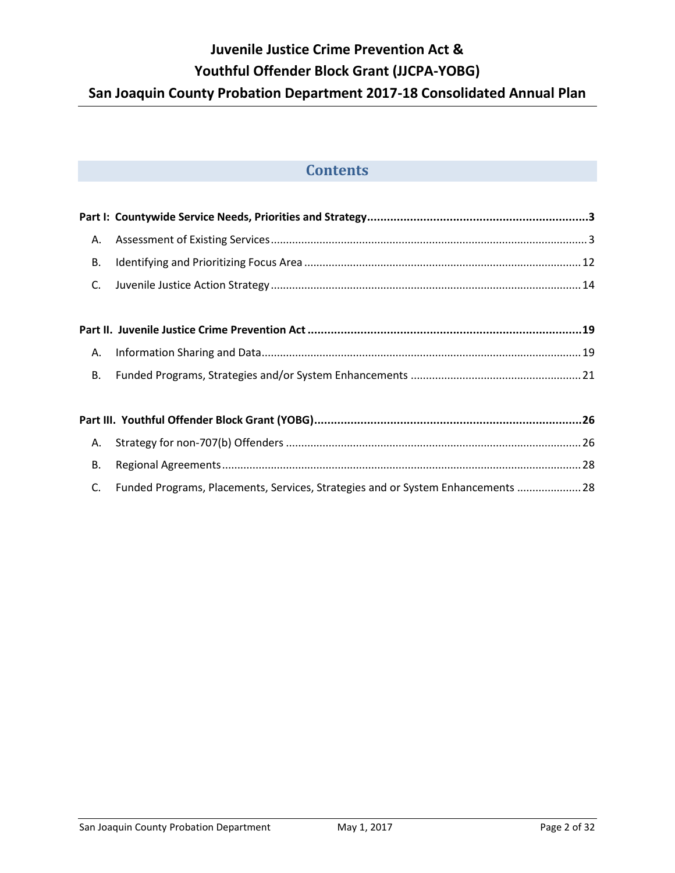# **Contents**

| А.        |                                                                                  |  |
|-----------|----------------------------------------------------------------------------------|--|
| <b>B.</b> |                                                                                  |  |
| C.        |                                                                                  |  |
|           |                                                                                  |  |
|           |                                                                                  |  |
| А.        |                                                                                  |  |
| <b>B.</b> |                                                                                  |  |
|           |                                                                                  |  |
|           |                                                                                  |  |
| Α.        |                                                                                  |  |
| <b>B.</b> |                                                                                  |  |
| C.        | Funded Programs, Placements, Services, Strategies and or System Enhancements  28 |  |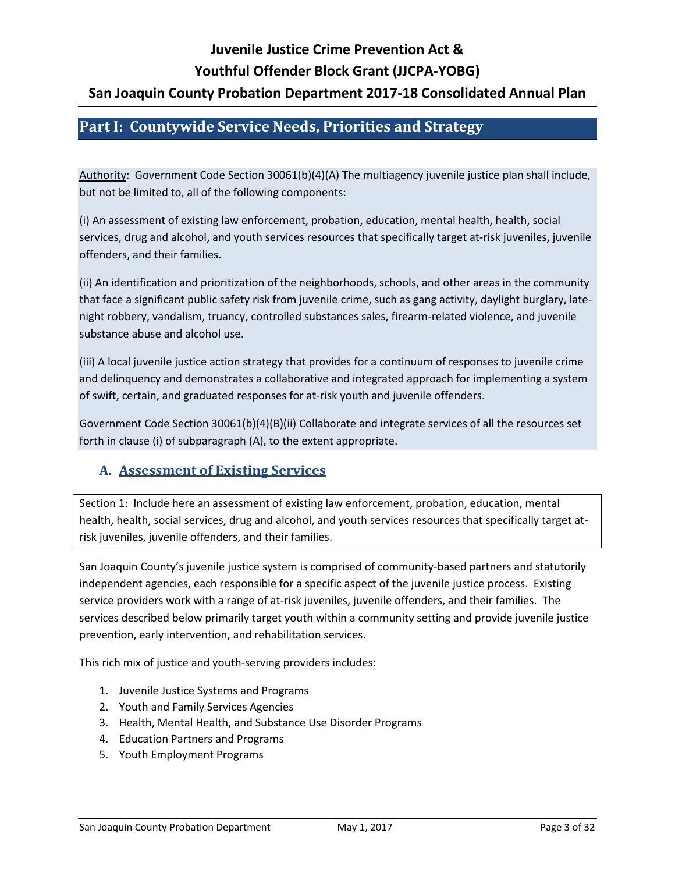## <span id="page-2-0"></span>**Part I: Countywide Service Needs, Priorities and Strategy**

Authority: Government Code Section 30061(b)(4)(A) The multiagency juvenile justice plan shall include, but not be limited to, all of the following components:

(i) An assessment of existing law enforcement, probation, education, mental health, health, social services, drug and alcohol, and youth services resources that specifically target at-risk juveniles, juvenile offenders, and their families.

(ii) An identification and prioritization of the neighborhoods, schools, and other areas in the community that face a significant public safety risk from juvenile crime, such as gang activity, daylight burglary, latenight robbery, vandalism, truancy, controlled substances sales, firearm-related violence, and juvenile substance abuse and alcohol use.

(iii) A local juvenile justice action strategy that provides for a continuum of responses to juvenile crime and delinquency and demonstrates a collaborative and integrated approach for implementing a system of swift, certain, and graduated responses for at-risk youth and juvenile offenders.

Government Code Section 30061(b)(4)(B)(ii) Collaborate and integrate services of all the resources set forth in clause (i) of subparagraph (A), to the extent appropriate.

## <span id="page-2-1"></span>**A. Assessment of Existing Services**

Section 1: Include here an assessment of existing law enforcement, probation, education, mental health, health, social services, drug and alcohol, and youth services resources that specifically target atrisk juveniles, juvenile offenders, and their families.

San Joaquin County's juvenile justice system is comprised of community-based partners and statutorily independent agencies, each responsible for a specific aspect of the juvenile justice process. Existing service providers work with a range of at-risk juveniles, juvenile offenders, and their families. The services described below primarily target youth within a community setting and provide juvenile justice prevention, early intervention, and rehabilitation services.

This rich mix of justice and youth-serving providers includes:

- 1. Juvenile Justice Systems and Programs
- 2. Youth and Family Services Agencies
- 3. Health, Mental Health, and Substance Use Disorder Programs
- 4. Education Partners and Programs
- 5. Youth Employment Programs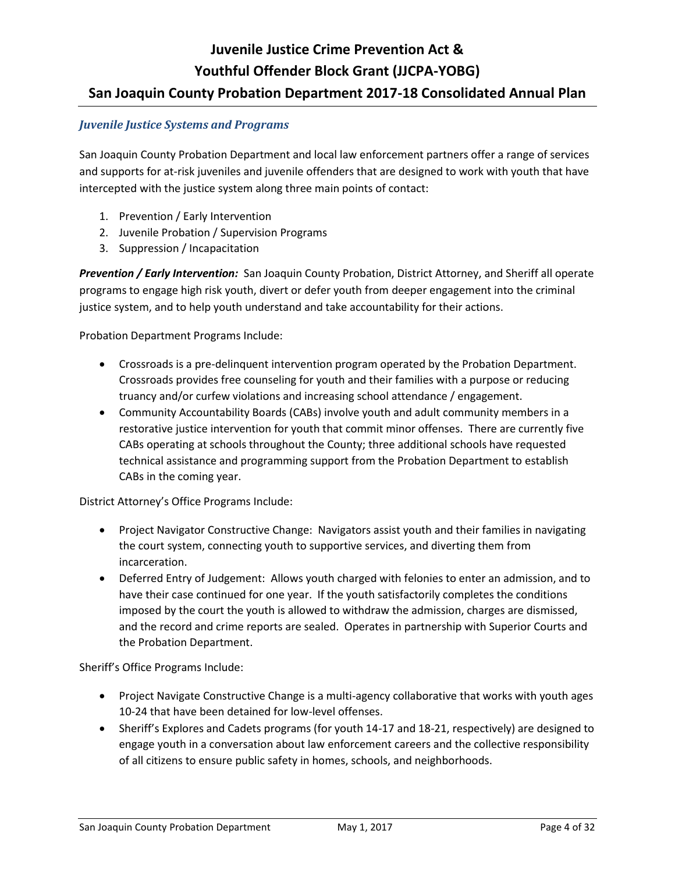### *Juvenile Justice Systems and Programs*

San Joaquin County Probation Department and local law enforcement partners offer a range of services and supports for at-risk juveniles and juvenile offenders that are designed to work with youth that have intercepted with the justice system along three main points of contact:

- 1. Prevention / Early Intervention
- 2. Juvenile Probation / Supervision Programs
- 3. Suppression / Incapacitation

*Prevention / Early Intervention:* San Joaquin County Probation, District Attorney, and Sheriff all operate programs to engage high risk youth, divert or defer youth from deeper engagement into the criminal justice system, and to help youth understand and take accountability for their actions.

Probation Department Programs Include:

- Crossroads is a pre-delinquent intervention program operated by the Probation Department. Crossroads provides free counseling for youth and their families with a purpose or reducing truancy and/or curfew violations and increasing school attendance / engagement.
- Community Accountability Boards (CABs) involve youth and adult community members in a restorative justice intervention for youth that commit minor offenses. There are currently five CABs operating at schools throughout the County; three additional schools have requested technical assistance and programming support from the Probation Department to establish CABs in the coming year.

District Attorney's Office Programs Include:

- Project Navigator Constructive Change: Navigators assist youth and their families in navigating the court system, connecting youth to supportive services, and diverting them from incarceration.
- Deferred Entry of Judgement: Allows youth charged with felonies to enter an admission, and to have their case continued for one year. If the youth satisfactorily completes the conditions imposed by the court the youth is allowed to withdraw the admission, charges are dismissed, and the record and crime reports are sealed. Operates in partnership with Superior Courts and the Probation Department.

Sheriff's Office Programs Include:

- Project Navigate Constructive Change is a multi-agency collaborative that works with youth ages 10-24 that have been detained for low-level offenses.
- Sheriff's Explores and Cadets programs (for youth 14-17 and 18-21, respectively) are designed to engage youth in a conversation about law enforcement careers and the collective responsibility of all citizens to ensure public safety in homes, schools, and neighborhoods.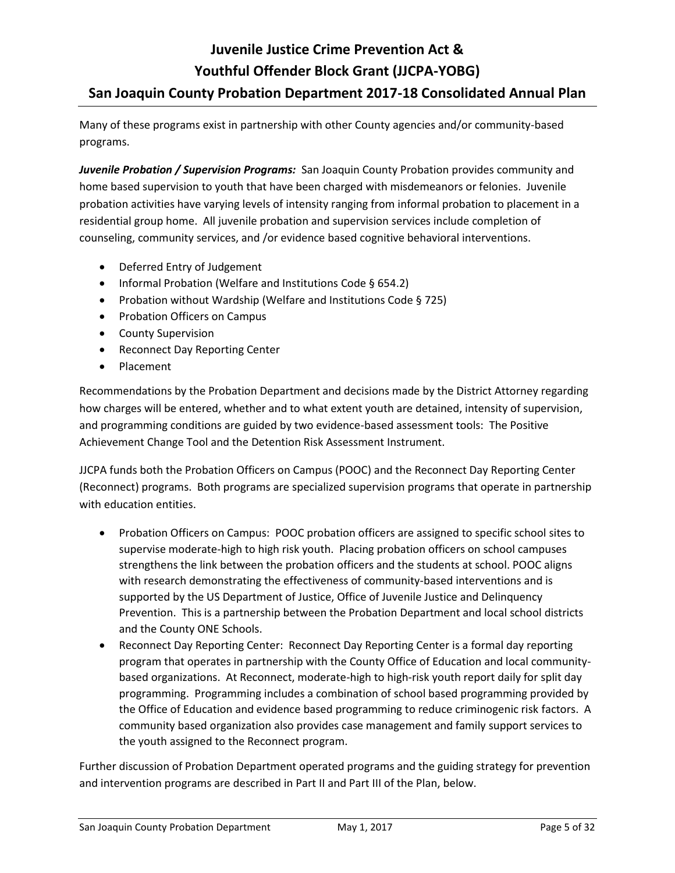Many of these programs exist in partnership with other County agencies and/or community-based programs.

**Juvenile Probation / Supervision Programs:** San Joaquin County Probation provides community and home based supervision to youth that have been charged with misdemeanors or felonies. Juvenile probation activities have varying levels of intensity ranging from informal probation to placement in a residential group home. All juvenile probation and supervision services include completion of counseling, community services, and /or evidence based cognitive behavioral interventions.

- Deferred Entry of Judgement
- Informal Probation (Welfare and Institutions Code § 654.2)
- Probation without Wardship (Welfare and Institutions Code § 725)
- Probation Officers on Campus
- County Supervision
- Reconnect Day Reporting Center
- Placement

Recommendations by the Probation Department and decisions made by the District Attorney regarding how charges will be entered, whether and to what extent youth are detained, intensity of supervision, and programming conditions are guided by two evidence-based assessment tools: The Positive Achievement Change Tool and the Detention Risk Assessment Instrument.

JJCPA funds both the Probation Officers on Campus (POOC) and the Reconnect Day Reporting Center (Reconnect) programs. Both programs are specialized supervision programs that operate in partnership with education entities.

- Probation Officers on Campus: POOC probation officers are assigned to specific school sites to supervise moderate-high to high risk youth. Placing probation officers on school campuses strengthens the link between the probation officers and the students at school. POOC aligns with research demonstrating the effectiveness of community-based interventions and is supported by the US Department of Justice, Office of Juvenile Justice and Delinquency Prevention. This is a partnership between the Probation Department and local school districts and the County ONE Schools.
- Reconnect Day Reporting Center: Reconnect Day Reporting Center is a formal day reporting program that operates in partnership with the County Office of Education and local communitybased organizations. At Reconnect, moderate-high to high-risk youth report daily for split day programming. Programming includes a combination of school based programming provided by the Office of Education and evidence based programming to reduce criminogenic risk factors. A community based organization also provides case management and family support services to the youth assigned to the Reconnect program.

Further discussion of Probation Department operated programs and the guiding strategy for prevention and intervention programs are described in Part II and Part III of the Plan, below.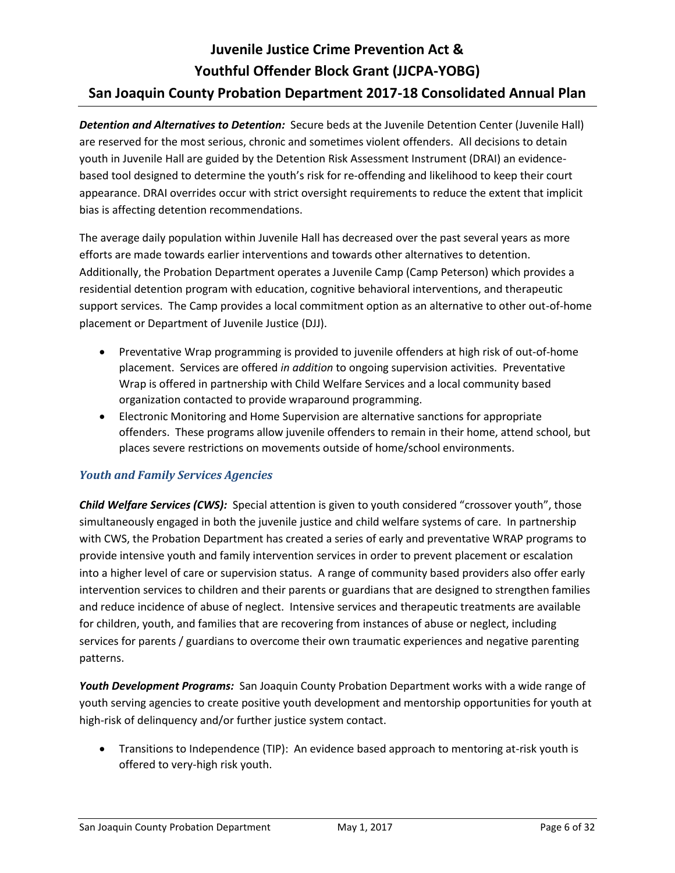*Detention and Alternatives to Detention:* Secure beds at the Juvenile Detention Center (Juvenile Hall) are reserved for the most serious, chronic and sometimes violent offenders. All decisions to detain youth in Juvenile Hall are guided by the Detention Risk Assessment Instrument (DRAI) an evidencebased tool designed to determine the youth's risk for re-offending and likelihood to keep their court appearance. DRAI overrides occur with strict oversight requirements to reduce the extent that implicit bias is affecting detention recommendations.

The average daily population within Juvenile Hall has decreased over the past several years as more efforts are made towards earlier interventions and towards other alternatives to detention. Additionally, the Probation Department operates a Juvenile Camp (Camp Peterson) which provides a residential detention program with education, cognitive behavioral interventions, and therapeutic support services. The Camp provides a local commitment option as an alternative to other out-of-home placement or Department of Juvenile Justice (DJJ).

- Preventative Wrap programming is provided to juvenile offenders at high risk of out-of-home placement. Services are offered *in addition* to ongoing supervision activities. Preventative Wrap is offered in partnership with Child Welfare Services and a local community based organization contacted to provide wraparound programming.
- Electronic Monitoring and Home Supervision are alternative sanctions for appropriate offenders. These programs allow juvenile offenders to remain in their home, attend school, but places severe restrictions on movements outside of home/school environments.

## *Youth and Family Services Agencies*

*Child Welfare Services (CWS):* Special attention is given to youth considered "crossover youth", those simultaneously engaged in both the juvenile justice and child welfare systems of care. In partnership with CWS, the Probation Department has created a series of early and preventative WRAP programs to provide intensive youth and family intervention services in order to prevent placement or escalation into a higher level of care or supervision status. A range of community based providers also offer early intervention services to children and their parents or guardians that are designed to strengthen families and reduce incidence of abuse of neglect. Intensive services and therapeutic treatments are available for children, youth, and families that are recovering from instances of abuse or neglect, including services for parents / guardians to overcome their own traumatic experiences and negative parenting patterns.

*Youth Development Programs:* San Joaquin County Probation Department works with a wide range of youth serving agencies to create positive youth development and mentorship opportunities for youth at high-risk of delinquency and/or further justice system contact.

 Transitions to Independence (TIP): An evidence based approach to mentoring at-risk youth is offered to very-high risk youth.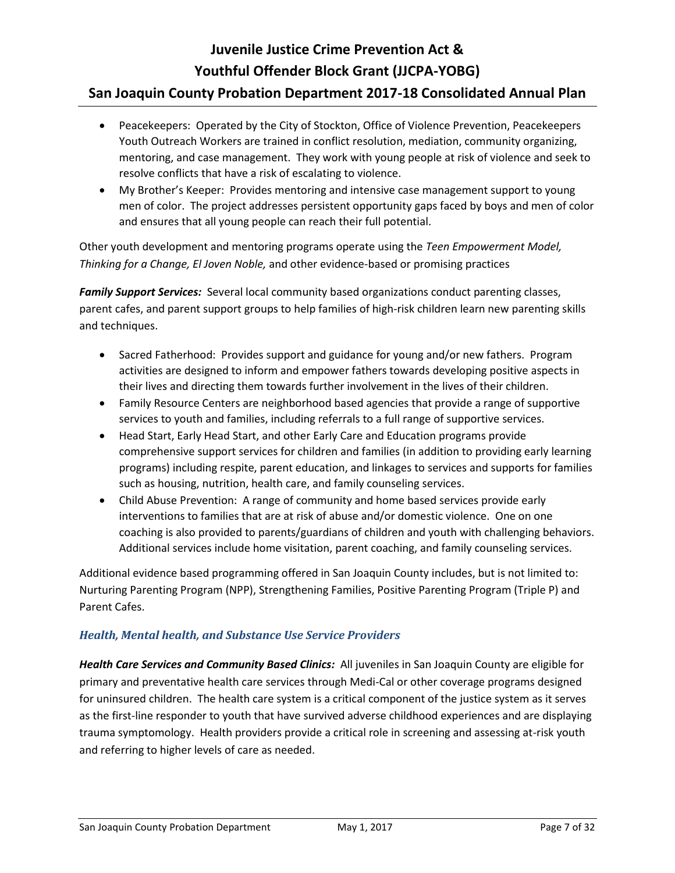# **Juvenile Justice Crime Prevention Act & Youthful Offender Block Grant (JJCPA-YOBG)**

## **San Joaquin County Probation Department 2017-18 Consolidated Annual Plan**

- Peacekeepers: Operated by the City of Stockton, Office of Violence Prevention, Peacekeepers Youth Outreach Workers are trained in conflict resolution, mediation, community organizing, mentoring, and case management. They work with young people at risk of violence and seek to resolve conflicts that have a risk of escalating to violence.
- My Brother's Keeper: Provides mentoring and intensive case management support to young men of color. The project addresses persistent opportunity gaps faced by boys and men of color and ensures that all young people can reach their full potential.

Other youth development and mentoring programs operate using the *Teen Empowerment Model, Thinking for a Change, El Joven Noble,* and other evidence-based or promising practices

*Family Support Services:* Several local community based organizations conduct parenting classes, parent cafes, and parent support groups to help families of high-risk children learn new parenting skills and techniques.

- Sacred Fatherhood: Provides support and guidance for young and/or new fathers. Program activities are designed to inform and empower fathers towards developing positive aspects in their lives and directing them towards further involvement in the lives of their children.
- Family Resource Centers are neighborhood based agencies that provide a range of supportive services to youth and families, including referrals to a full range of supportive services.
- Head Start, Early Head Start, and other Early Care and Education programs provide comprehensive support services for children and families (in addition to providing early learning programs) including respite, parent education, and linkages to services and supports for families such as housing, nutrition, health care, and family counseling services.
- Child Abuse Prevention: A range of community and home based services provide early interventions to families that are at risk of abuse and/or domestic violence. One on one coaching is also provided to parents/guardians of children and youth with challenging behaviors. Additional services include home visitation, parent coaching, and family counseling services.

Additional evidence based programming offered in San Joaquin County includes, but is not limited to: Nurturing Parenting Program (NPP), Strengthening Families, Positive Parenting Program (Triple P) and Parent Cafes.

### *Health, Mental health, and Substance Use Service Providers*

*Health Care Services and Community Based Clinics:* All juveniles in San Joaquin County are eligible for primary and preventative health care services through Medi-Cal or other coverage programs designed for uninsured children. The health care system is a critical component of the justice system as it serves as the first-line responder to youth that have survived adverse childhood experiences and are displaying trauma symptomology. Health providers provide a critical role in screening and assessing at-risk youth and referring to higher levels of care as needed.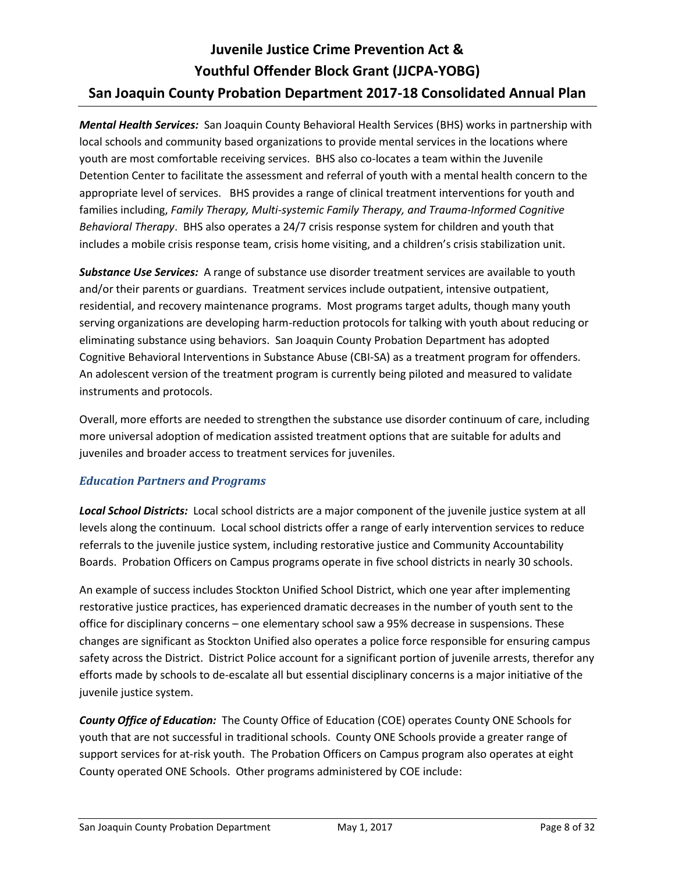*Mental Health Services:* San Joaquin County Behavioral Health Services (BHS) works in partnership with local schools and community based organizations to provide mental services in the locations where youth are most comfortable receiving services. BHS also co-locates a team within the Juvenile Detention Center to facilitate the assessment and referral of youth with a mental health concern to the appropriate level of services. BHS provides a range of clinical treatment interventions for youth and families including, *Family Therapy, Multi-systemic Family Therapy, and Trauma-Informed Cognitive Behavioral Therapy*. BHS also operates a 24/7 crisis response system for children and youth that includes a mobile crisis response team, crisis home visiting, and a children's crisis stabilization unit.

*Substance Use Services:* A range of substance use disorder treatment services are available to youth and/or their parents or guardians. Treatment services include outpatient, intensive outpatient, residential, and recovery maintenance programs. Most programs target adults, though many youth serving organizations are developing harm-reduction protocols for talking with youth about reducing or eliminating substance using behaviors. San Joaquin County Probation Department has adopted Cognitive Behavioral Interventions in Substance Abuse (CBI-SA) as a treatment program for offenders. An adolescent version of the treatment program is currently being piloted and measured to validate instruments and protocols.

Overall, more efforts are needed to strengthen the substance use disorder continuum of care, including more universal adoption of medication assisted treatment options that are suitable for adults and juveniles and broader access to treatment services for juveniles.

## *Education Partners and Programs*

*Local School Districts:* Local school districts are a major component of the juvenile justice system at all levels along the continuum. Local school districts offer a range of early intervention services to reduce referrals to the juvenile justice system, including restorative justice and Community Accountability Boards. Probation Officers on Campus programs operate in five school districts in nearly 30 schools.

An example of success includes Stockton Unified School District, which one year after implementing restorative justice practices, has experienced dramatic decreases in the number of youth sent to the office for disciplinary concerns – one elementary school saw a 95% decrease in suspensions. These changes are significant as Stockton Unified also operates a police force responsible for ensuring campus safety across the District. District Police account for a significant portion of juvenile arrests, therefor any efforts made by schools to de-escalate all but essential disciplinary concerns is a major initiative of the juvenile justice system.

*County Office of Education:* The County Office of Education (COE) operates County ONE Schools for youth that are not successful in traditional schools. County ONE Schools provide a greater range of support services for at-risk youth. The Probation Officers on Campus program also operates at eight County operated ONE Schools. Other programs administered by COE include: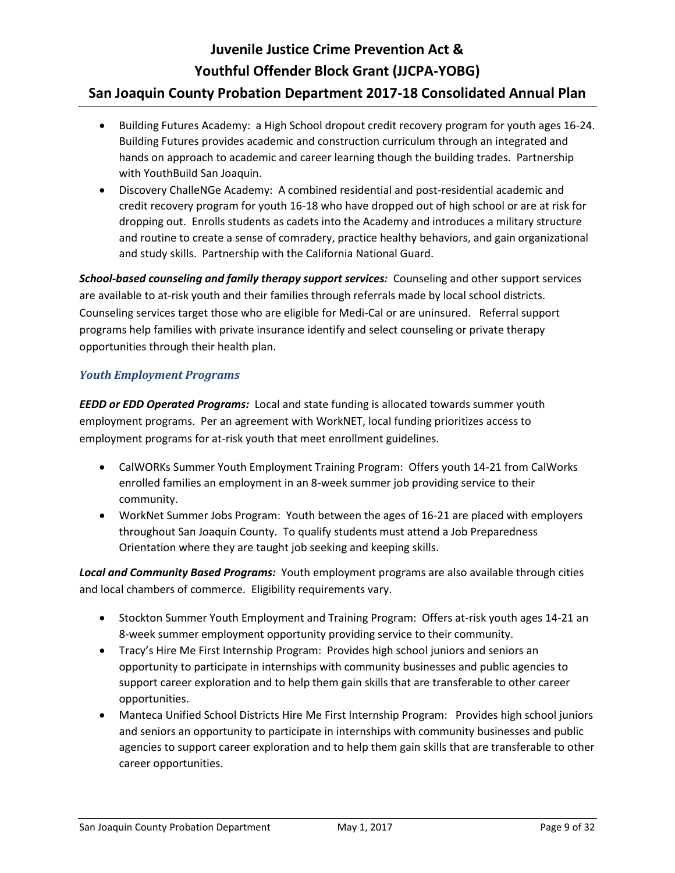- Building Futures Academy: a High School dropout credit recovery program for youth ages 16-24. Building Futures provides academic and construction curriculum through an integrated and hands on approach to academic and career learning though the building trades. Partnership with YouthBuild San Joaquin.
- Discovery ChalleNGe Academy: A combined residential and post-residential academic and credit recovery program for youth 16-18 who have dropped out of high school or are at risk for dropping out. Enrolls students as cadets into the Academy and introduces a military structure and routine to create a sense of comradery, practice healthy behaviors, and gain organizational and study skills. Partnership with the California National Guard.

*School-based counseling and family therapy support services:* Counseling and other support services are available to at-risk youth and their families through referrals made by local school districts. Counseling services target those who are eligible for Medi-Cal or are uninsured. Referral support programs help families with private insurance identify and select counseling or private therapy opportunities through their health plan.

### *Youth Employment Programs*

*EEDD or EDD Operated Programs:* Local and state funding is allocated towards summer youth employment programs. Per an agreement with WorkNET, local funding prioritizes access to employment programs for at-risk youth that meet enrollment guidelines.

- CalWORKs Summer Youth Employment Training Program: Offers youth 14-21 from CalWorks enrolled families an employment in an 8-week summer job providing service to their community.
- WorkNet Summer Jobs Program: Youth between the ages of 16-21 are placed with employers throughout San Joaquin County. To qualify students must attend a Job Preparedness Orientation where they are taught job seeking and keeping skills.

*Local and Community Based Programs:* Youth employment programs are also available through cities and local chambers of commerce. Eligibility requirements vary.

- Stockton Summer Youth Employment and Training Program: Offers at-risk youth ages 14-21 an 8-week summer employment opportunity providing service to their community.
- Tracy's Hire Me First Internship Program: Provides high school juniors and seniors an opportunity to participate in internships with community businesses and public agencies to support career exploration and to help them gain skills that are transferable to other career opportunities.
- Manteca Unified School Districts Hire Me First Internship Program: Provides high school juniors and seniors an opportunity to participate in internships with community businesses and public agencies to support career exploration and to help them gain skills that are transferable to other career opportunities.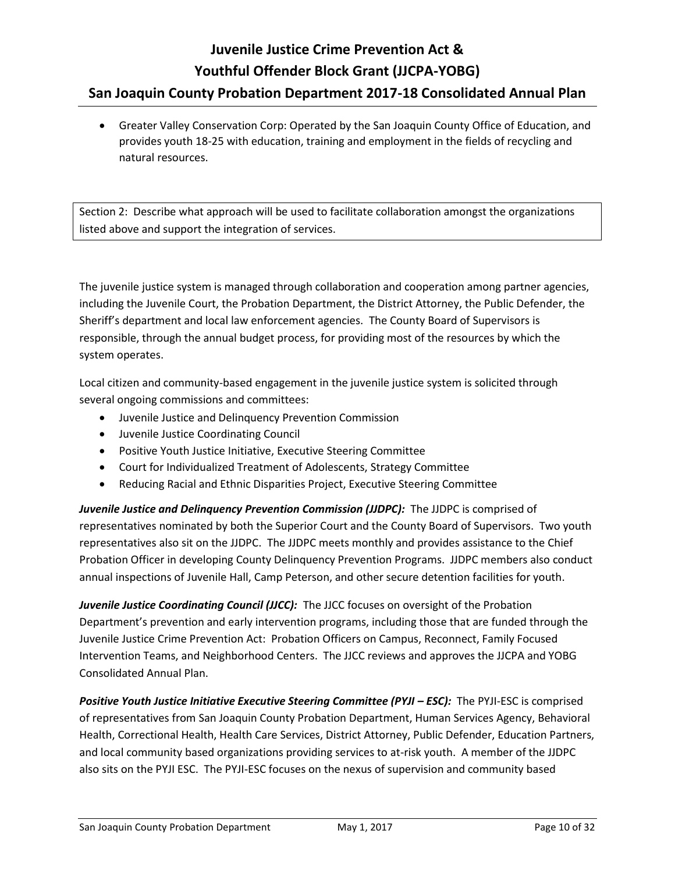Greater Valley Conservation Corp: Operated by the San Joaquin County Office of Education, and provides youth 18-25 with education, training and employment in the fields of recycling and natural resources.

Section 2: Describe what approach will be used to facilitate collaboration amongst the organizations listed above and support the integration of services.

The juvenile justice system is managed through collaboration and cooperation among partner agencies, including the Juvenile Court, the Probation Department, the District Attorney, the Public Defender, the Sheriff's department and local law enforcement agencies. The County Board of Supervisors is responsible, through the annual budget process, for providing most of the resources by which the system operates.

Local citizen and community-based engagement in the juvenile justice system is solicited through several ongoing commissions and committees:

- Juvenile Justice and Delinquency Prevention Commission
- Juvenile Justice Coordinating Council
- Positive Youth Justice Initiative, Executive Steering Committee
- Court for Individualized Treatment of Adolescents, Strategy Committee
- Reducing Racial and Ethnic Disparities Project, Executive Steering Committee

*Juvenile Justice and Delinquency Prevention Commission (JJDPC):* The JJDPC is comprised of representatives nominated by both the Superior Court and the County Board of Supervisors. Two youth representatives also sit on the JJDPC. The JJDPC meets monthly and provides assistance to the Chief Probation Officer in developing County Delinquency Prevention Programs. JJDPC members also conduct annual inspections of Juvenile Hall, Camp Peterson, and other secure detention facilities for youth.

*Juvenile Justice Coordinating Council (JJCC):* The JJCC focuses on oversight of the Probation Department's prevention and early intervention programs, including those that are funded through the Juvenile Justice Crime Prevention Act: Probation Officers on Campus, Reconnect, Family Focused Intervention Teams, and Neighborhood Centers. The JJCC reviews and approves the JJCPA and YOBG Consolidated Annual Plan.

**Positive Youth Justice Initiative Executive Steering Committee (PYJI – ESC):** The PYJI-ESC is comprised of representatives from San Joaquin County Probation Department, Human Services Agency, Behavioral Health, Correctional Health, Health Care Services, District Attorney, Public Defender, Education Partners, and local community based organizations providing services to at-risk youth. A member of the JJDPC also sits on the PYJI ESC. The PYJI-ESC focuses on the nexus of supervision and community based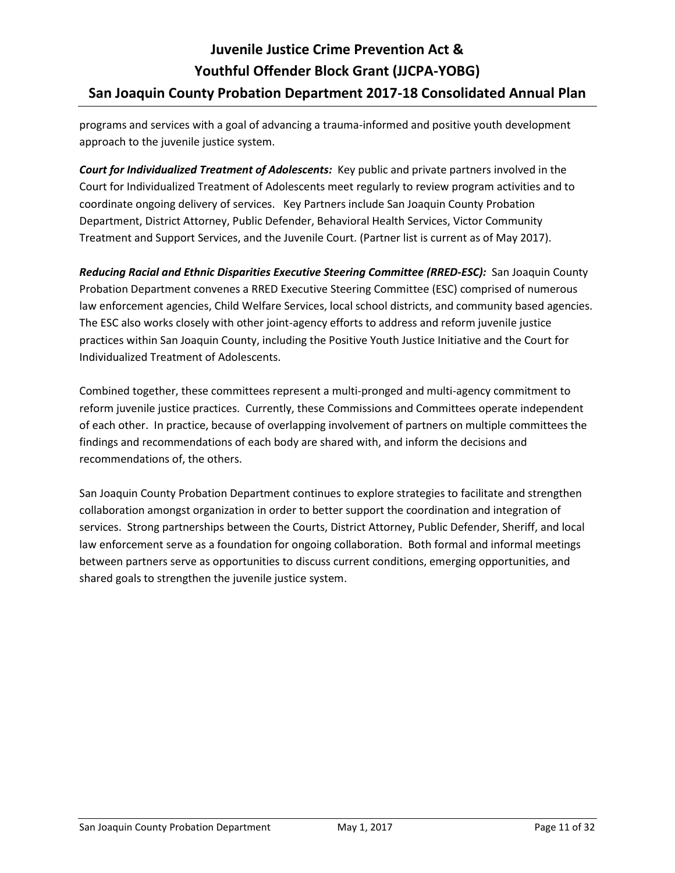programs and services with a goal of advancing a trauma-informed and positive youth development approach to the juvenile justice system.

*Court for Individualized Treatment of Adolescents:* Key public and private partners involved in the Court for Individualized Treatment of Adolescents meet regularly to review program activities and to coordinate ongoing delivery of services. Key Partners include San Joaquin County Probation Department, District Attorney, Public Defender, Behavioral Health Services, Victor Community Treatment and Support Services, and the Juvenile Court. (Partner list is current as of May 2017).

*Reducing Racial and Ethnic Disparities Executive Steering Committee (RRED-ESC):* San Joaquin County Probation Department convenes a RRED Executive Steering Committee (ESC) comprised of numerous law enforcement agencies, Child Welfare Services, local school districts, and community based agencies. The ESC also works closely with other joint-agency efforts to address and reform juvenile justice practices within San Joaquin County, including the Positive Youth Justice Initiative and the Court for Individualized Treatment of Adolescents.

Combined together, these committees represent a multi-pronged and multi-agency commitment to reform juvenile justice practices. Currently, these Commissions and Committees operate independent of each other. In practice, because of overlapping involvement of partners on multiple committees the findings and recommendations of each body are shared with, and inform the decisions and recommendations of, the others.

San Joaquin County Probation Department continues to explore strategies to facilitate and strengthen collaboration amongst organization in order to better support the coordination and integration of services. Strong partnerships between the Courts, District Attorney, Public Defender, Sheriff, and local law enforcement serve as a foundation for ongoing collaboration. Both formal and informal meetings between partners serve as opportunities to discuss current conditions, emerging opportunities, and shared goals to strengthen the juvenile justice system.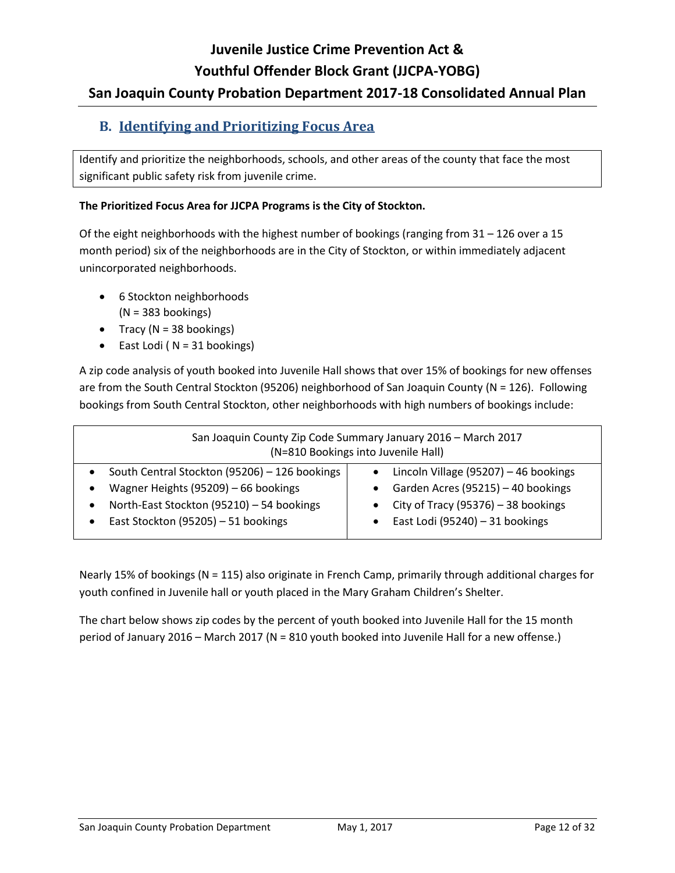# **Juvenile Justice Crime Prevention Act & Youthful Offender Block Grant (JJCPA-YOBG)**

# **San Joaquin County Probation Department 2017-18 Consolidated Annual Plan**

## <span id="page-11-0"></span>**B. Identifying and Prioritizing Focus Area**

Identify and prioritize the neighborhoods, schools, and other areas of the county that face the most significant public safety risk from juvenile crime.

### **The Prioritized Focus Area for JJCPA Programs is the City of Stockton.**

Of the eight neighborhoods with the highest number of bookings (ranging from 31 – 126 over a 15 month period) six of the neighborhoods are in the City of Stockton, or within immediately adjacent unincorporated neighborhoods.

- 6 Stockton neighborhoods
	- $(N = 383$  bookings)
- Tracy ( $N = 38$  bookings)
- East Lodi ( $N = 31$  bookings)

A zip code analysis of youth booked into Juvenile Hall shows that over 15% of bookings for new offenses are from the South Central Stockton (95206) neighborhood of San Joaquin County (N = 126). Following bookings from South Central Stockton, other neighborhoods with high numbers of bookings include:

| San Joaquin County Zip Code Summary January 2016 - March 2017<br>(N=810 Bookings into Juvenile Hall)                                                                                                             |                                                                                                                                                          |  |  |
|------------------------------------------------------------------------------------------------------------------------------------------------------------------------------------------------------------------|----------------------------------------------------------------------------------------------------------------------------------------------------------|--|--|
| South Central Stockton (95206) - 126 bookings<br>$\bullet$<br>Wagner Heights (95209) - 66 bookings<br>North-East Stockton (95210) - 54 bookings<br>$\bullet$<br>East Stockton (95205) - 51 bookings<br>$\bullet$ | Lincoln Village (95207) - 46 bookings<br>Garden Acres (95215) - 40 bookings<br>City of Tracy (95376) $-$ 38 bookings<br>East Lodi (95240) $-31$ bookings |  |  |

Nearly 15% of bookings (N = 115) also originate in French Camp, primarily through additional charges for youth confined in Juvenile hall or youth placed in the Mary Graham Children's Shelter.

The chart below shows zip codes by the percent of youth booked into Juvenile Hall for the 15 month period of January 2016 – March 2017 (N = 810 youth booked into Juvenile Hall for a new offense.)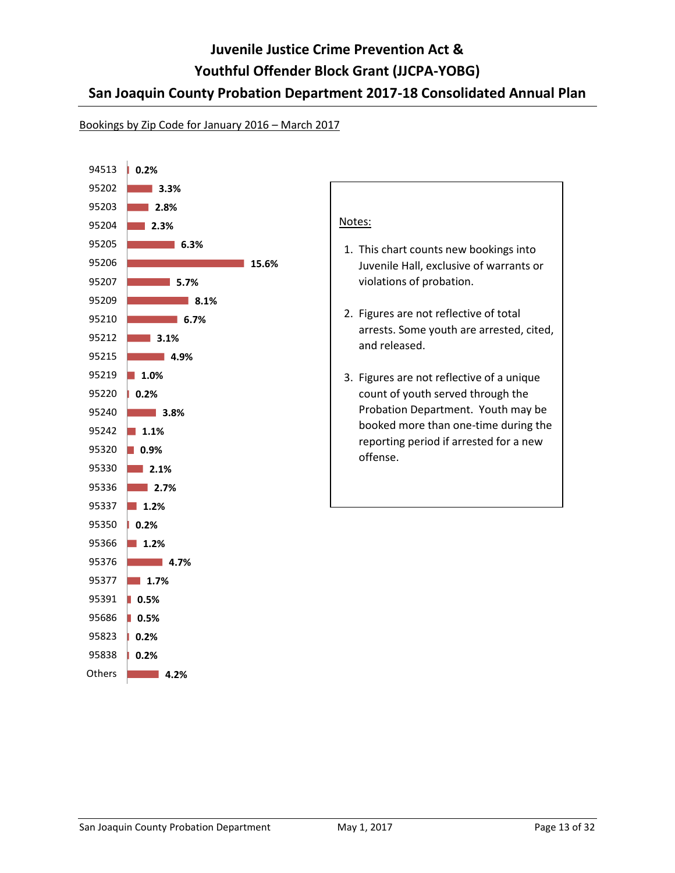#### Bookings by Zip Code for January 2016 – March 2017

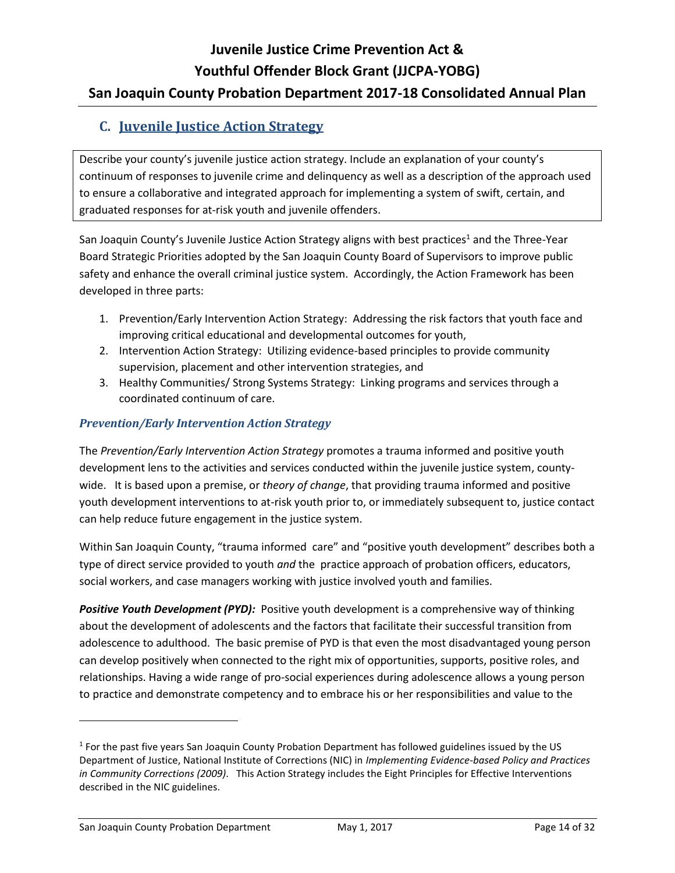## <span id="page-13-0"></span>**C. Juvenile Justice Action Strategy**

Describe your county's juvenile justice action strategy. Include an explanation of your county's continuum of responses to juvenile crime and delinquency as well as a description of the approach used to ensure a collaborative and integrated approach for implementing a system of swift, certain, and graduated responses for at-risk youth and juvenile offenders.

San Joaquin County's Juvenile Justice Action Strategy aligns with best practices<sup>1</sup> and the Three-Year Board Strategic Priorities adopted by the San Joaquin County Board of Supervisors to improve public safety and enhance the overall criminal justice system. Accordingly, the Action Framework has been developed in three parts:

- 1. Prevention/Early Intervention Action Strategy: Addressing the risk factors that youth face and improving critical educational and developmental outcomes for youth,
- 2. Intervention Action Strategy: Utilizing evidence-based principles to provide community supervision, placement and other intervention strategies, and
- 3. Healthy Communities/ Strong Systems Strategy: Linking programs and services through a coordinated continuum of care.

## *Prevention/Early Intervention Action Strategy*

The *Prevention/Early Intervention Action Strategy* promotes a trauma informed and positive youth development lens to the activities and services conducted within the juvenile justice system, countywide. It is based upon a premise, or *theory of change*, that providing trauma informed and positive youth development interventions to at-risk youth prior to, or immediately subsequent to, justice contact can help reduce future engagement in the justice system.

Within San Joaquin County, "trauma informed care" and "positive youth development" describes both a type of direct service provided to youth *and* the practice approach of probation officers, educators, social workers, and case managers working with justice involved youth and families.

*Positive Youth Development (PYD):* Positive youth development is a comprehensive way of thinking about the development of adolescents and the factors that facilitate their successful transition from adolescence to adulthood. The basic premise of PYD is that even the most disadvantaged young person can develop positively when connected to the right mix of opportunities, supports, positive roles, and relationships. Having a wide range of pro-social experiences during adolescence allows a young person to practice and demonstrate competency and to embrace his or her responsibilities and value to the

l

<sup>&</sup>lt;sup>1</sup> For the past five years San Joaquin County Probation Department has followed guidelines issued by the US Department of Justice, National Institute of Corrections (NIC) in *Implementing Evidence-based Policy and Practices in Community Corrections (2009)*. This Action Strategy includes the Eight Principles for Effective Interventions described in the NIC guidelines.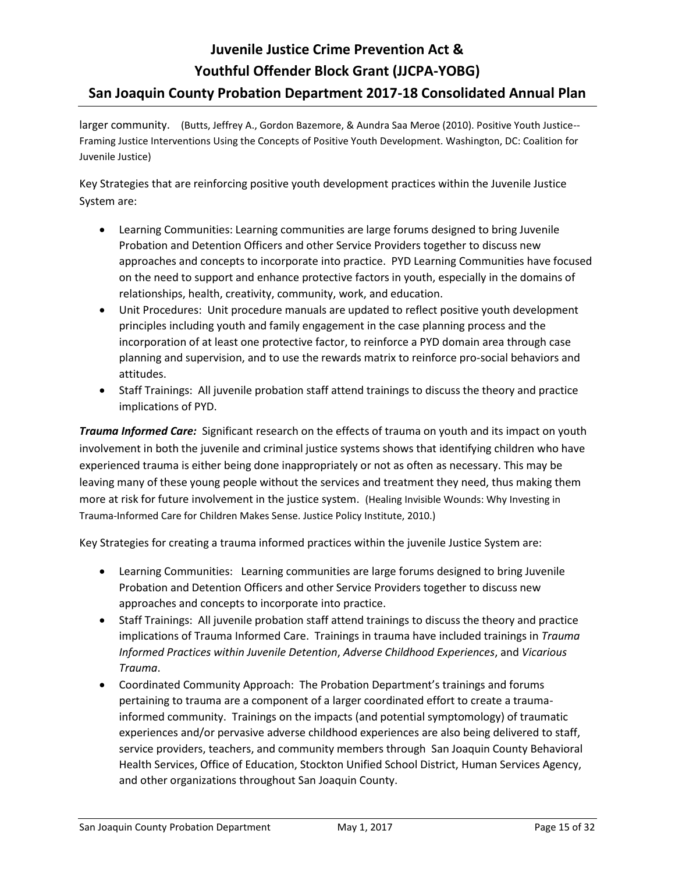larger community. (Butts, Jeffrey A., Gordon Bazemore, & Aundra Saa Meroe (2010). Positive Youth Justice-- Framing Justice Interventions Using the Concepts of Positive Youth Development. Washington, DC: Coalition for Juvenile Justice)

Key Strategies that are reinforcing positive youth development practices within the Juvenile Justice System are:

- Learning Communities: Learning communities are large forums designed to bring Juvenile Probation and Detention Officers and other Service Providers together to discuss new approaches and concepts to incorporate into practice. PYD Learning Communities have focused on the need to support and enhance protective factors in youth, especially in the domains of relationships, health, creativity, community, work, and education.
- Unit Procedures: Unit procedure manuals are updated to reflect positive youth development principles including youth and family engagement in the case planning process and the incorporation of at least one protective factor, to reinforce a PYD domain area through case planning and supervision, and to use the rewards matrix to reinforce pro-social behaviors and attitudes.
- Staff Trainings: All juvenile probation staff attend trainings to discuss the theory and practice implications of PYD.

*Trauma Informed Care:* Significant research on the effects of trauma on youth and its impact on youth involvement in both the juvenile and criminal justice systems shows that identifying children who have experienced trauma is either being done inappropriately or not as often as necessary. This may be leaving many of these young people without the services and treatment they need, thus making them more at risk for future involvement in the justice system. (Healing Invisible Wounds: Why Investing in Trauma-Informed Care for Children Makes Sense. Justice Policy Institute, 2010.)

Key Strategies for creating a trauma informed practices within the juvenile Justice System are:

- Learning Communities: Learning communities are large forums designed to bring Juvenile Probation and Detention Officers and other Service Providers together to discuss new approaches and concepts to incorporate into practice.
- Staff Trainings: All juvenile probation staff attend trainings to discuss the theory and practice implications of Trauma Informed Care. Trainings in trauma have included trainings in *Trauma Informed Practices within Juvenile Detention*, *Adverse Childhood Experiences*, and *Vicarious Trauma*.
- Coordinated Community Approach: The Probation Department's trainings and forums pertaining to trauma are a component of a larger coordinated effort to create a traumainformed community. Trainings on the impacts (and potential symptomology) of traumatic experiences and/or pervasive adverse childhood experiences are also being delivered to staff, service providers, teachers, and community members through San Joaquin County Behavioral Health Services, Office of Education, Stockton Unified School District, Human Services Agency, and other organizations throughout San Joaquin County.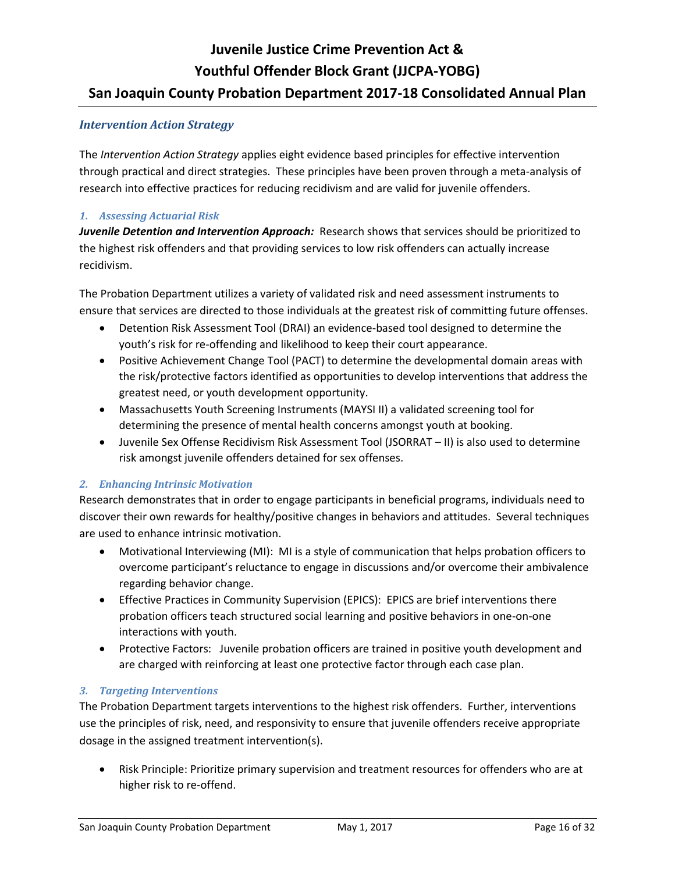### *Intervention Action Strategy*

The *Intervention Action Strategy* applies eight evidence based principles for effective intervention through practical and direct strategies. These principles have been proven through a meta-analysis of research into effective practices for reducing recidivism and are valid for juvenile offenders.

### *1. Assessing Actuarial Risk*

*Juvenile Detention and Intervention Approach:* Research shows that services should be prioritized to the highest risk offenders and that providing services to low risk offenders can actually increase recidivism.

The Probation Department utilizes a variety of validated risk and need assessment instruments to ensure that services are directed to those individuals at the greatest risk of committing future offenses.

- Detention Risk Assessment Tool (DRAI) an evidence-based tool designed to determine the youth's risk for re-offending and likelihood to keep their court appearance.
- Positive Achievement Change Tool (PACT) to determine the developmental domain areas with the risk/protective factors identified as opportunities to develop interventions that address the greatest need, or youth development opportunity.
- Massachusetts Youth Screening Instruments (MAYSI II) a validated screening tool for determining the presence of mental health concerns amongst youth at booking.
- Juvenile Sex Offense Recidivism Risk Assessment Tool (JSORRAT II) is also used to determine risk amongst juvenile offenders detained for sex offenses.

### *2. Enhancing Intrinsic Motivation*

Research demonstrates that in order to engage participants in beneficial programs, individuals need to discover their own rewards for healthy/positive changes in behaviors and attitudes. Several techniques are used to enhance intrinsic motivation.

- Motivational Interviewing (MI): MI is a style of communication that helps probation officers to overcome participant's reluctance to engage in discussions and/or overcome their ambivalence regarding behavior change.
- Effective Practices in Community Supervision (EPICS): EPICS are brief interventions there probation officers teach structured social learning and positive behaviors in one-on-one interactions with youth.
- Protective Factors: Juvenile probation officers are trained in positive youth development and are charged with reinforcing at least one protective factor through each case plan.

## *3. Targeting Interventions*

The Probation Department targets interventions to the highest risk offenders. Further, interventions use the principles of risk, need, and responsivity to ensure that juvenile offenders receive appropriate dosage in the assigned treatment intervention(s).

 Risk Principle: Prioritize primary supervision and treatment resources for offenders who are at higher risk to re-offend.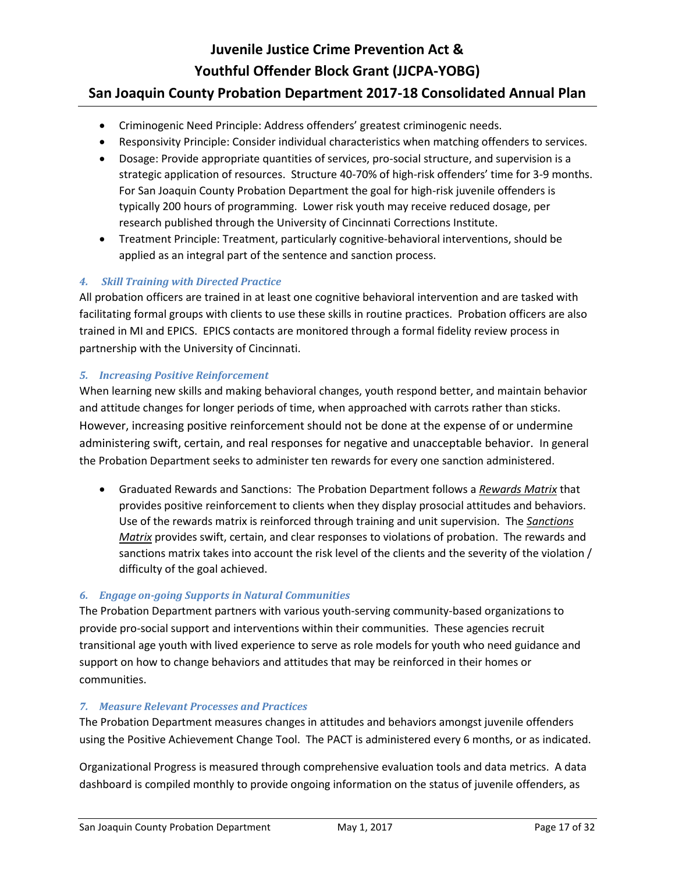# **Juvenile Justice Crime Prevention Act & Youthful Offender Block Grant (JJCPA-YOBG)**

## **San Joaquin County Probation Department 2017-18 Consolidated Annual Plan**

- Criminogenic Need Principle: Address offenders' greatest criminogenic needs.
- Responsivity Principle: Consider individual characteristics when matching offenders to services.
- Dosage: Provide appropriate quantities of services, pro-social structure, and supervision is a strategic application of resources. Structure 40-70% of high-risk offenders' time for 3-9 months. For San Joaquin County Probation Department the goal for high-risk juvenile offenders is typically 200 hours of programming. Lower risk youth may receive reduced dosage, per research published through the University of Cincinnati Corrections Institute.
- Treatment Principle: Treatment, particularly cognitive-behavioral interventions, should be applied as an integral part of the sentence and sanction process.

## *4. Skill Training with Directed Practice*

All probation officers are trained in at least one cognitive behavioral intervention and are tasked with facilitating formal groups with clients to use these skills in routine practices. Probation officers are also trained in MI and EPICS. EPICS contacts are monitored through a formal fidelity review process in partnership with the University of Cincinnati.

### *5. Increasing Positive Reinforcement*

When learning new skills and making behavioral changes, youth respond better, and maintain behavior and attitude changes for longer periods of time, when approached with carrots rather than sticks. However, increasing positive reinforcement should not be done at the expense of or undermine administering swift, certain, and real responses for negative and unacceptable behavior. In general the Probation Department seeks to administer ten rewards for every one sanction administered.

 Graduated Rewards and Sanctions: The Probation Department follows a *Rewards Matrix* that provides positive reinforcement to clients when they display prosocial attitudes and behaviors. Use of the rewards matrix is reinforced through training and unit supervision. The *Sanctions Matrix* provides swift, certain, and clear responses to violations of probation. The rewards and sanctions matrix takes into account the risk level of the clients and the severity of the violation / difficulty of the goal achieved.

### *6. Engage on-going Supports in Natural Communities*

The Probation Department partners with various youth-serving community-based organizations to provide pro-social support and interventions within their communities. These agencies recruit transitional age youth with lived experience to serve as role models for youth who need guidance and support on how to change behaviors and attitudes that may be reinforced in their homes or communities.

### *7. Measure Relevant Processes and Practices*

The Probation Department measures changes in attitudes and behaviors amongst juvenile offenders using the Positive Achievement Change Tool. The PACT is administered every 6 months, or as indicated.

Organizational Progress is measured through comprehensive evaluation tools and data metrics. A data dashboard is compiled monthly to provide ongoing information on the status of juvenile offenders, as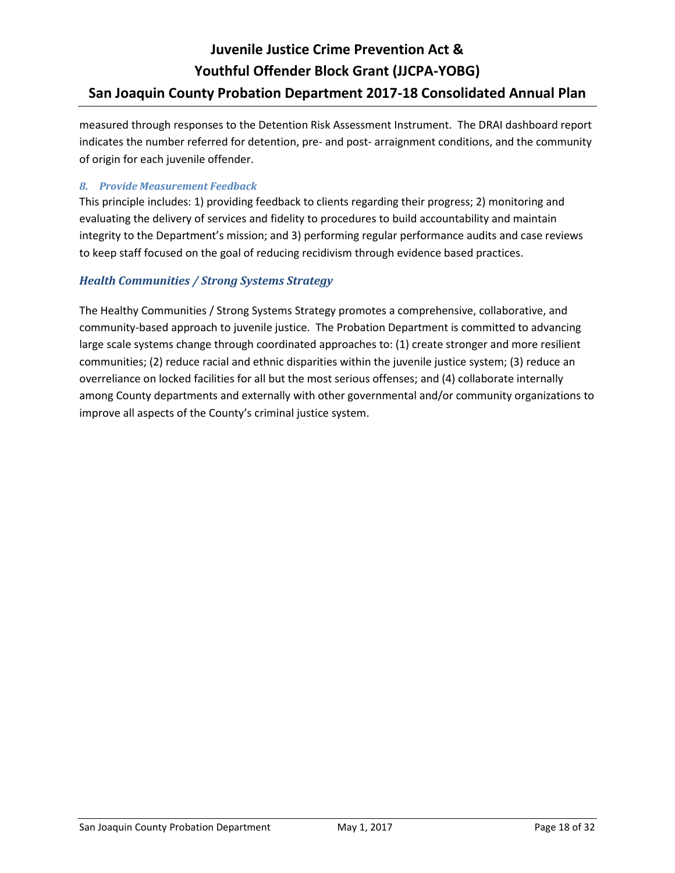measured through responses to the Detention Risk Assessment Instrument. The DRAI dashboard report indicates the number referred for detention, pre- and post- arraignment conditions, and the community of origin for each juvenile offender.

### *8. Provide Measurement Feedback*

This principle includes: 1) providing feedback to clients regarding their progress; 2) monitoring and evaluating the delivery of services and fidelity to procedures to build accountability and maintain integrity to the Department's mission; and 3) performing regular performance audits and case reviews to keep staff focused on the goal of reducing recidivism through evidence based practices.

### *Health Communities / Strong Systems Strategy*

The Healthy Communities / Strong Systems Strategy promotes a comprehensive, collaborative, and community-based approach to juvenile justice. The Probation Department is committed to advancing large scale systems change through coordinated approaches to: (1) create stronger and more resilient communities; (2) reduce racial and ethnic disparities within the juvenile justice system; (3) reduce an overreliance on locked facilities for all but the most serious offenses; and (4) collaborate internally among County departments and externally with other governmental and/or community organizations to improve all aspects of the County's criminal justice system.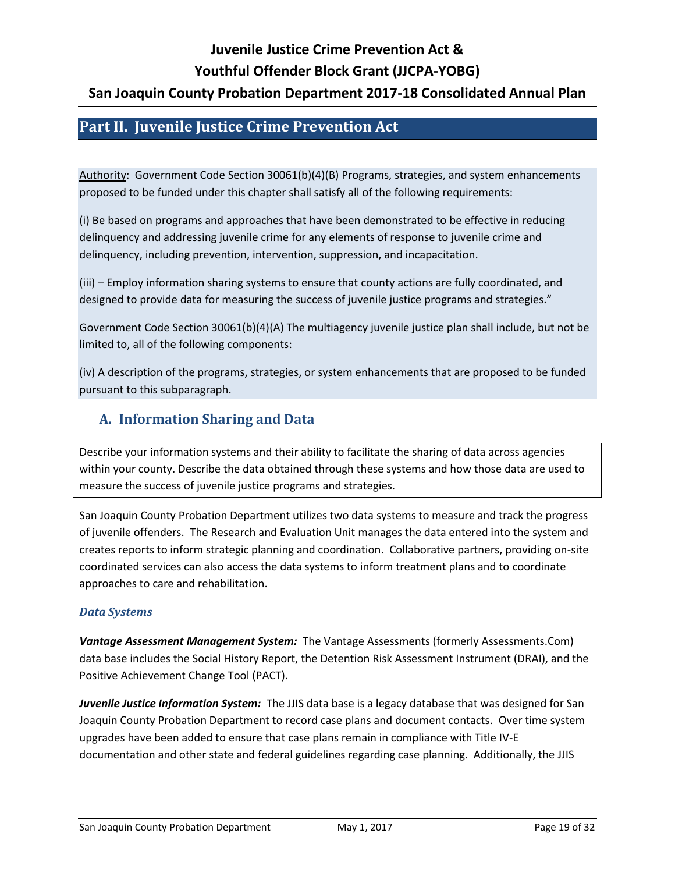# **Juvenile Justice Crime Prevention Act &**

### **Youthful Offender Block Grant (JJCPA-YOBG)**

## **San Joaquin County Probation Department 2017-18 Consolidated Annual Plan**

## <span id="page-18-0"></span>**Part II. Juvenile Justice Crime Prevention Act**

Authority: Government Code Section 30061(b)(4)(B) Programs, strategies, and system enhancements proposed to be funded under this chapter shall satisfy all of the following requirements:

(i) Be based on programs and approaches that have been demonstrated to be effective in reducing delinquency and addressing juvenile crime for any elements of response to juvenile crime and delinquency, including prevention, intervention, suppression, and incapacitation.

(iii) – Employ information sharing systems to ensure that county actions are fully coordinated, and designed to provide data for measuring the success of juvenile justice programs and strategies."

Government Code Section 30061(b)(4)(A) The multiagency juvenile justice plan shall include, but not be limited to, all of the following components:

(iv) A description of the programs, strategies, or system enhancements that are proposed to be funded pursuant to this subparagraph.

## <span id="page-18-1"></span>**A. Information Sharing and Data**

Describe your information systems and their ability to facilitate the sharing of data across agencies within your county. Describe the data obtained through these systems and how those data are used to measure the success of juvenile justice programs and strategies.

San Joaquin County Probation Department utilizes two data systems to measure and track the progress of juvenile offenders. The Research and Evaluation Unit manages the data entered into the system and creates reports to inform strategic planning and coordination. Collaborative partners, providing on-site coordinated services can also access the data systems to inform treatment plans and to coordinate approaches to care and rehabilitation.

### *Data Systems*

*Vantage Assessment Management System:* The Vantage Assessments (formerly Assessments.Com) data base includes the Social History Report, the Detention Risk Assessment Instrument (DRAI), and the Positive Achievement Change Tool (PACT).

*Juvenile Justice Information System:*The JJIS data base is a legacy database that was designed for San Joaquin County Probation Department to record case plans and document contacts. Over time system upgrades have been added to ensure that case plans remain in compliance with Title IV-E documentation and other state and federal guidelines regarding case planning. Additionally, the JJIS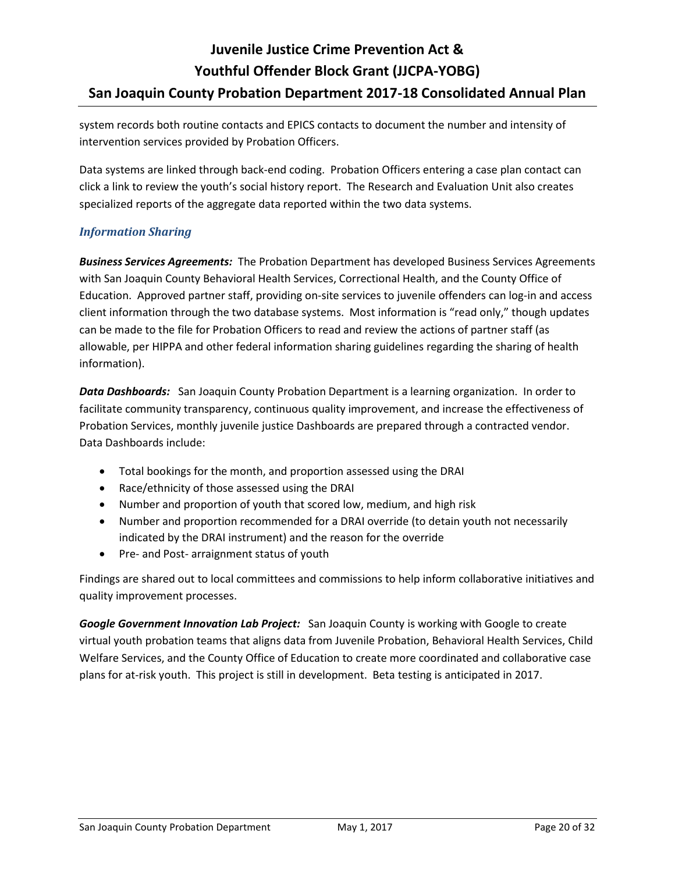system records both routine contacts and EPICS contacts to document the number and intensity of intervention services provided by Probation Officers.

Data systems are linked through back-end coding. Probation Officers entering a case plan contact can click a link to review the youth's social history report. The Research and Evaluation Unit also creates specialized reports of the aggregate data reported within the two data systems.

## *Information Sharing*

*Business Services Agreements:* The Probation Department has developed Business Services Agreements with San Joaquin County Behavioral Health Services, Correctional Health, and the County Office of Education. Approved partner staff, providing on-site services to juvenile offenders can log-in and access client information through the two database systems. Most information is "read only," though updates can be made to the file for Probation Officers to read and review the actions of partner staff (as allowable, per HIPPA and other federal information sharing guidelines regarding the sharing of health information).

*Data Dashboards:* San Joaquin County Probation Department is a learning organization. In order to facilitate community transparency, continuous quality improvement, and increase the effectiveness of Probation Services, monthly juvenile justice Dashboards are prepared through a contracted vendor. Data Dashboards include:

- Total bookings for the month, and proportion assessed using the DRAI
- Race/ethnicity of those assessed using the DRAI
- Number and proportion of youth that scored low, medium, and high risk
- Number and proportion recommended for a DRAI override (to detain youth not necessarily indicated by the DRAI instrument) and the reason for the override
- Pre- and Post- arraignment status of youth

Findings are shared out to local committees and commissions to help inform collaborative initiatives and quality improvement processes.

*Google Government Innovation Lab Project:* San Joaquin County is working with Google to create virtual youth probation teams that aligns data from Juvenile Probation, Behavioral Health Services, Child Welfare Services, and the County Office of Education to create more coordinated and collaborative case plans for at-risk youth. This project is still in development. Beta testing is anticipated in 2017.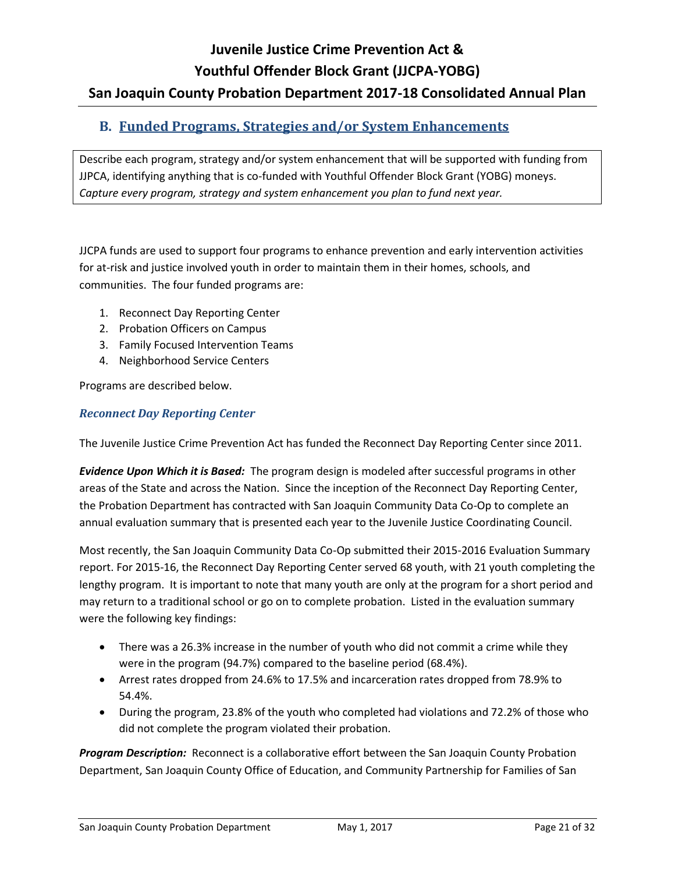## <span id="page-20-0"></span>**B. Funded Programs, Strategies and/or System Enhancements**

Describe each program, strategy and/or system enhancement that will be supported with funding from JJPCA, identifying anything that is co-funded with Youthful Offender Block Grant (YOBG) moneys. *Capture every program, strategy and system enhancement you plan to fund next year.*

JJCPA funds are used to support four programs to enhance prevention and early intervention activities for at-risk and justice involved youth in order to maintain them in their homes, schools, and communities. The four funded programs are:

- 1. Reconnect Day Reporting Center
- 2. Probation Officers on Campus
- 3. Family Focused Intervention Teams
- 4. Neighborhood Service Centers

Programs are described below.

#### *Reconnect Day Reporting Center*

The Juvenile Justice Crime Prevention Act has funded the Reconnect Day Reporting Center since 2011.

*Evidence Upon Which it is Based:* The program design is modeled after successful programs in other areas of the State and across the Nation. Since the inception of the Reconnect Day Reporting Center, the Probation Department has contracted with San Joaquin Community Data Co-Op to complete an annual evaluation summary that is presented each year to the Juvenile Justice Coordinating Council.

Most recently, the San Joaquin Community Data Co-Op submitted their 2015-2016 Evaluation Summary report. For 2015-16, the Reconnect Day Reporting Center served 68 youth, with 21 youth completing the lengthy program. It is important to note that many youth are only at the program for a short period and may return to a traditional school or go on to complete probation. Listed in the evaluation summary were the following key findings:

- There was a 26.3% increase in the number of youth who did not commit a crime while they were in the program (94.7%) compared to the baseline period (68.4%).
- Arrest rates dropped from 24.6% to 17.5% and incarceration rates dropped from 78.9% to 54.4%.
- During the program, 23.8% of the youth who completed had violations and 72.2% of those who did not complete the program violated their probation.

*Program Description:* Reconnect is a collaborative effort between the San Joaquin County Probation Department, San Joaquin County Office of Education, and Community Partnership for Families of San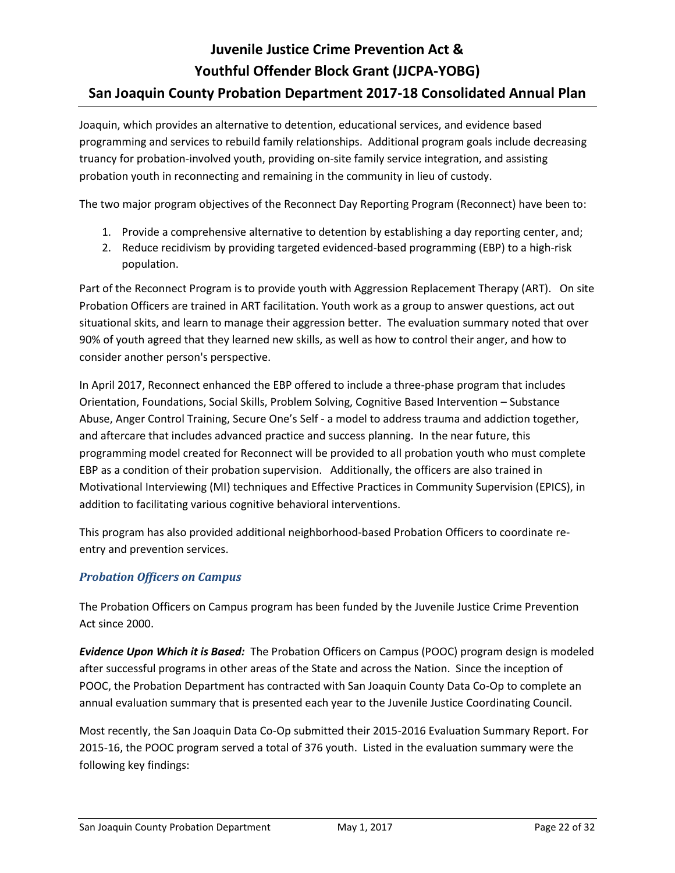Joaquin, which provides an alternative to detention, educational services, and evidence based programming and services to rebuild family relationships. Additional program goals include decreasing truancy for probation-involved youth, providing on-site family service integration, and assisting probation youth in reconnecting and remaining in the community in lieu of custody.

The two major program objectives of the Reconnect Day Reporting Program (Reconnect) have been to:

- 1. Provide a comprehensive alternative to detention by establishing a day reporting center, and;
- 2. Reduce recidivism by providing targeted evidenced-based programming (EBP) to a high-risk population.

Part of the Reconnect Program is to provide youth with Aggression Replacement Therapy (ART). On site Probation Officers are trained in ART facilitation. Youth work as a group to answer questions, act out situational skits, and learn to manage their aggression better. The evaluation summary noted that over 90% of youth agreed that they learned new skills, as well as how to control their anger, and how to consider another person's perspective.

In April 2017, Reconnect enhanced the EBP offered to include a three-phase program that includes Orientation, Foundations, Social Skills, Problem Solving, Cognitive Based Intervention – Substance Abuse, Anger Control Training, Secure One's Self - a model to address trauma and addiction together, and aftercare that includes advanced practice and success planning. In the near future, this programming model created for Reconnect will be provided to all probation youth who must complete EBP as a condition of their probation supervision. Additionally, the officers are also trained in Motivational Interviewing (MI) techniques and Effective Practices in Community Supervision (EPICS), in addition to facilitating various cognitive behavioral interventions.

This program has also provided additional neighborhood-based Probation Officers to coordinate reentry and prevention services.

## *Probation Officers on Campus*

The Probation Officers on Campus program has been funded by the Juvenile Justice Crime Prevention Act since 2000.

*Evidence Upon Which it is Based:* The Probation Officers on Campus (POOC) program design is modeled after successful programs in other areas of the State and across the Nation. Since the inception of POOC, the Probation Department has contracted with San Joaquin County Data Co-Op to complete an annual evaluation summary that is presented each year to the Juvenile Justice Coordinating Council.

Most recently, the San Joaquin Data Co-Op submitted their 2015-2016 Evaluation Summary Report. For 2015-16, the POOC program served a total of 376 youth. Listed in the evaluation summary were the following key findings: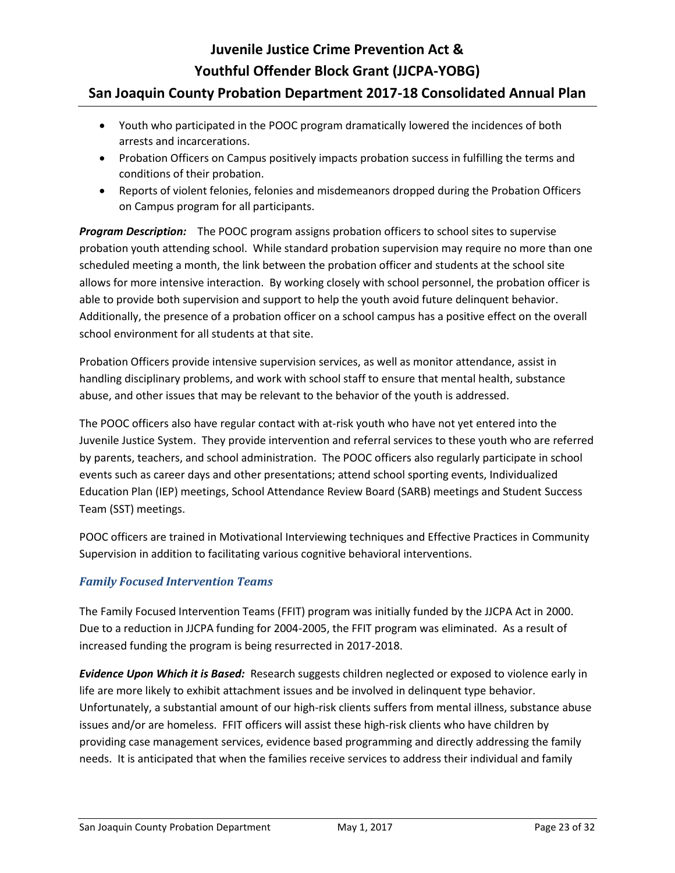# **Juvenile Justice Crime Prevention Act & Youthful Offender Block Grant (JJCPA-YOBG)**

## **San Joaquin County Probation Department 2017-18 Consolidated Annual Plan**

- Youth who participated in the POOC program dramatically lowered the incidences of both arrests and incarcerations.
- Probation Officers on Campus positively impacts probation success in fulfilling the terms and conditions of their probation.
- Reports of violent felonies, felonies and misdemeanors dropped during the Probation Officers on Campus program for all participants.

**Program Description:** The POOC program assigns probation officers to school sites to supervise probation youth attending school. While standard probation supervision may require no more than one scheduled meeting a month, the link between the probation officer and students at the school site allows for more intensive interaction. By working closely with school personnel, the probation officer is able to provide both supervision and support to help the youth avoid future delinquent behavior. Additionally, the presence of a probation officer on a school campus has a positive effect on the overall school environment for all students at that site.

Probation Officers provide intensive supervision services, as well as monitor attendance, assist in handling disciplinary problems, and work with school staff to ensure that mental health, substance abuse, and other issues that may be relevant to the behavior of the youth is addressed.

The POOC officers also have regular contact with at-risk youth who have not yet entered into the Juvenile Justice System. They provide intervention and referral services to these youth who are referred by parents, teachers, and school administration. The POOC officers also regularly participate in school events such as career days and other presentations; attend school sporting events, Individualized Education Plan (IEP) meetings, School Attendance Review Board (SARB) meetings and Student Success Team (SST) meetings.

POOC officers are trained in Motivational Interviewing techniques and Effective Practices in Community Supervision in addition to facilitating various cognitive behavioral interventions.

## *Family Focused Intervention Teams*

The Family Focused Intervention Teams (FFIT) program was initially funded by the JJCPA Act in 2000. Due to a reduction in JJCPA funding for 2004-2005, the FFIT program was eliminated. As a result of increased funding the program is being resurrected in 2017-2018.

*Evidence Upon Which it is Based:* Research suggests children neglected or exposed to violence early in life are more likely to exhibit attachment issues and be involved in delinquent type behavior. Unfortunately, a substantial amount of our high-risk clients suffers from mental illness, substance abuse issues and/or are homeless. FFIT officers will assist these high-risk clients who have children by providing case management services, evidence based programming and directly addressing the family needs. It is anticipated that when the families receive services to address their individual and family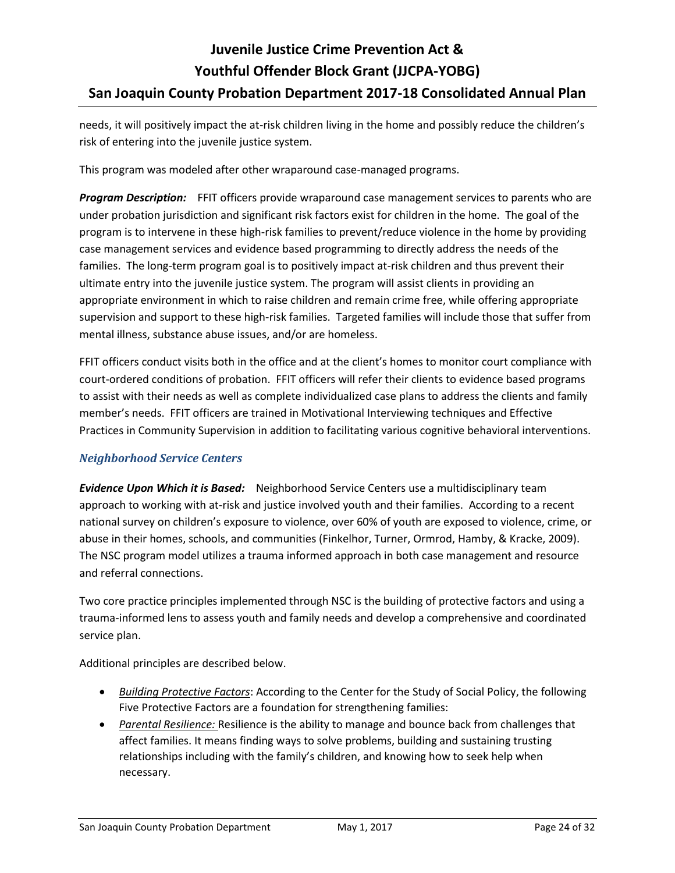needs, it will positively impact the at-risk children living in the home and possibly reduce the children's risk of entering into the juvenile justice system.

This program was modeled after other wraparound case-managed programs.

**Program Description:** FFIT officers provide wraparound case management services to parents who are under probation jurisdiction and significant risk factors exist for children in the home. The goal of the program is to intervene in these high-risk families to prevent/reduce violence in the home by providing case management services and evidence based programming to directly address the needs of the families. The long-term program goal is to positively impact at-risk children and thus prevent their ultimate entry into the juvenile justice system. The program will assist clients in providing an appropriate environment in which to raise children and remain crime free, while offering appropriate supervision and support to these high-risk families. Targeted families will include those that suffer from mental illness, substance abuse issues, and/or are homeless.

FFIT officers conduct visits both in the office and at the client's homes to monitor court compliance with court-ordered conditions of probation. FFIT officers will refer their clients to evidence based programs to assist with their needs as well as complete individualized case plans to address the clients and family member's needs. FFIT officers are trained in Motivational Interviewing techniques and Effective Practices in Community Supervision in addition to facilitating various cognitive behavioral interventions.

## *Neighborhood Service Centers*

*Evidence Upon Which it is Based:* Neighborhood Service Centers use a multidisciplinary team approach to working with at-risk and justice involved youth and their families. According to a recent national survey on children's exposure to violence, over 60% of youth are exposed to violence, crime, or abuse in their homes, schools, and communities (Finkelhor, Turner, Ormrod, Hamby, & Kracke, 2009). The NSC program model utilizes a trauma informed approach in both case management and resource and referral connections.

Two core practice principles implemented through NSC is the building of protective factors and using a trauma-informed lens to assess youth and family needs and develop a comprehensive and coordinated service plan.

Additional principles are described below.

- *Building Protective Factors*: According to the Center for the Study of Social Policy, the following Five Protective Factors are a foundation for strengthening families:
- *Parental Resilience:* Resilience is the ability to manage and bounce back from challenges that affect families. It means finding ways to solve problems, building and sustaining trusting relationships including with the family's children, and knowing how to seek help when necessary.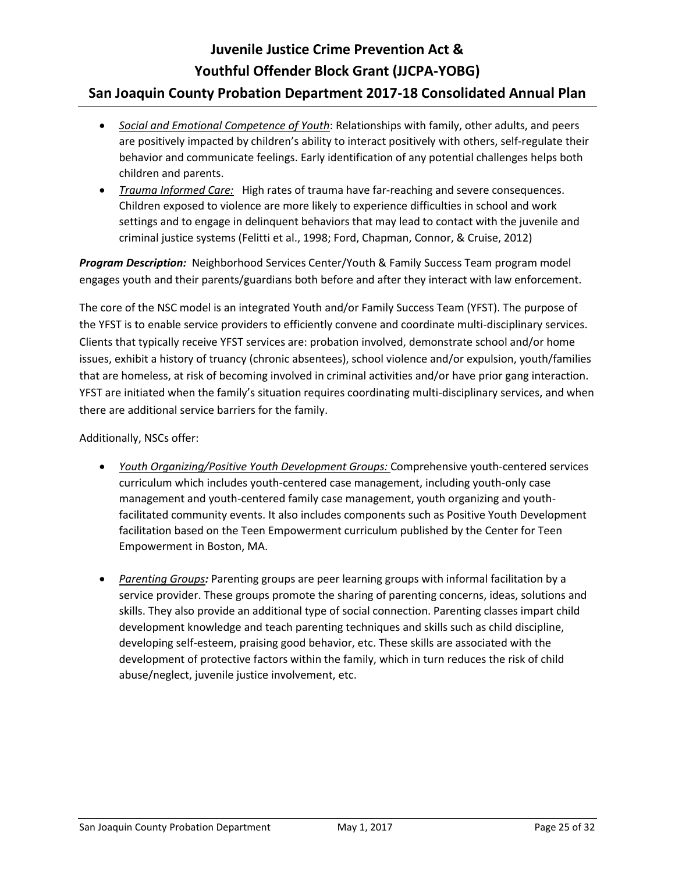- *Social and Emotional Competence of Youth*: Relationships with family, other adults, and peers are positively impacted by children's ability to interact positively with others, self-regulate their behavior and communicate feelings. Early identification of any potential challenges helps both children and parents.
- *Trauma Informed Care:* High rates of trauma have far-reaching and severe consequences. Children exposed to violence are more likely to experience difficulties in school and work settings and to engage in delinquent behaviors that may lead to contact with the juvenile and criminal justice systems (Felitti et al., 1998; Ford, Chapman, Connor, & Cruise, 2012)

*Program Description:* Neighborhood Services Center/Youth & Family Success Team program model engages youth and their parents/guardians both before and after they interact with law enforcement.

The core of the NSC model is an integrated Youth and/or Family Success Team (YFST). The purpose of the YFST is to enable service providers to efficiently convene and coordinate multi-disciplinary services. Clients that typically receive YFST services are: probation involved, demonstrate school and/or home issues, exhibit a history of truancy (chronic absentees), school violence and/or expulsion, youth/families that are homeless, at risk of becoming involved in criminal activities and/or have prior gang interaction. YFST are initiated when the family's situation requires coordinating multi-disciplinary services, and when there are additional service barriers for the family.

Additionally, NSCs offer:

- *Youth Organizing/Positive Youth Development Groups:* Comprehensive youth-centered services curriculum which includes youth-centered case management, including youth-only case management and youth-centered family case management, youth organizing and youthfacilitated community events. It also includes components such as Positive Youth Development facilitation based on the Teen Empowerment curriculum published by the Center for Teen Empowerment in Boston, MA.
- *Parenting Groups:* Parenting groups are peer learning groups with informal facilitation by a service provider. These groups promote the sharing of parenting concerns, ideas, solutions and skills. They also provide an additional type of social connection. Parenting classes impart child development knowledge and teach parenting techniques and skills such as child discipline, developing self-esteem, praising good behavior, etc. These skills are associated with the development of protective factors within the family, which in turn reduces the risk of child abuse/neglect, juvenile justice involvement, etc.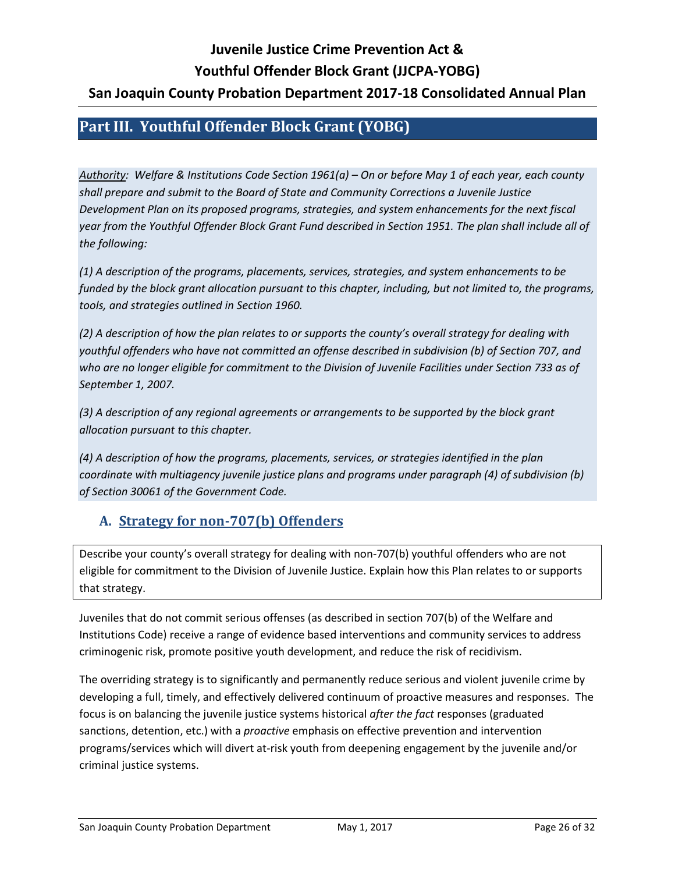## <span id="page-25-0"></span>**Part III. Youthful Offender Block Grant (YOBG)**

*Authority: Welfare & Institutions Code Section 1961(a) – On or before May 1 of each year, each county shall prepare and submit to the Board of State and Community Corrections a Juvenile Justice Development Plan on its proposed programs, strategies, and system enhancements for the next fiscal year from the Youthful Offender Block Grant Fund described in Section 1951. The plan shall include all of the following:*

*(1) A description of the programs, placements, services, strategies, and system enhancements to be funded by the block grant allocation pursuant to this chapter, including, but not limited to, the programs, tools, and strategies outlined in Section 1960.*

*(2) A description of how the plan relates to or supports the county's overall strategy for dealing with youthful offenders who have not committed an offense described in subdivision (b) of Section 707, and who are no longer eligible for commitment to the Division of Juvenile Facilities under Section 733 as of September 1, 2007.*

*(3) A description of any regional agreements or arrangements to be supported by the block grant allocation pursuant to this chapter.*

*(4) A description of how the programs, placements, services, or strategies identified in the plan coordinate with multiagency juvenile justice plans and programs under paragraph (4) of subdivision (b) of Section 30061 of the Government Code.*

## <span id="page-25-1"></span>**A. Strategy for non-707(b) Offenders**

Describe your county's overall strategy for dealing with non-707(b) youthful offenders who are not eligible for commitment to the Division of Juvenile Justice. Explain how this Plan relates to or supports that strategy.

Juveniles that do not commit serious offenses (as described in section 707(b) of the Welfare and Institutions Code) receive a range of evidence based interventions and community services to address criminogenic risk, promote positive youth development, and reduce the risk of recidivism.

The overriding strategy is to significantly and permanently reduce serious and violent juvenile crime by developing a full, timely, and effectively delivered continuum of proactive measures and responses. The focus is on balancing the juvenile justice systems historical *after the fact* responses (graduated sanctions, detention, etc.) with a *proactive* emphasis on effective prevention and intervention programs/services which will divert at-risk youth from deepening engagement by the juvenile and/or criminal justice systems.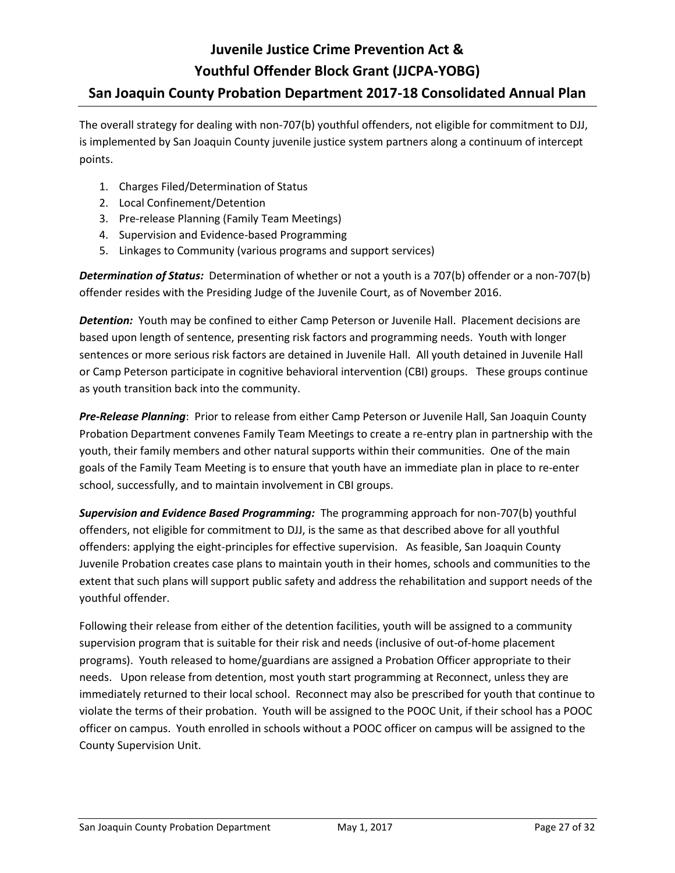The overall strategy for dealing with non-707(b) youthful offenders, not eligible for commitment to DJJ, is implemented by San Joaquin County juvenile justice system partners along a continuum of intercept points.

- 1. Charges Filed/Determination of Status
- 2. Local Confinement/Detention
- 3. Pre-release Planning (Family Team Meetings)
- 4. Supervision and Evidence-based Programming
- 5. Linkages to Community (various programs and support services)

*Determination of Status:* Determination of whether or not a youth is a 707(b) offender or a non-707(b) offender resides with the Presiding Judge of the Juvenile Court, as of November 2016.

**Detention:** Youth may be confined to either Camp Peterson or Juvenile Hall. Placement decisions are based upon length of sentence, presenting risk factors and programming needs. Youth with longer sentences or more serious risk factors are detained in Juvenile Hall. All youth detained in Juvenile Hall or Camp Peterson participate in cognitive behavioral intervention (CBI) groups. These groups continue as youth transition back into the community.

*Pre-Release Planning*: Prior to release from either Camp Peterson or Juvenile Hall, San Joaquin County Probation Department convenes Family Team Meetings to create a re-entry plan in partnership with the youth, their family members and other natural supports within their communities. One of the main goals of the Family Team Meeting is to ensure that youth have an immediate plan in place to re-enter school, successfully, and to maintain involvement in CBI groups.

*Supervision and Evidence Based Programming:* The programming approach for non-707(b) youthful offenders, not eligible for commitment to DJJ, is the same as that described above for all youthful offenders: applying the eight-principles for effective supervision. As feasible, San Joaquin County Juvenile Probation creates case plans to maintain youth in their homes, schools and communities to the extent that such plans will support public safety and address the rehabilitation and support needs of the youthful offender.

Following their release from either of the detention facilities, youth will be assigned to a community supervision program that is suitable for their risk and needs (inclusive of out-of-home placement programs). Youth released to home/guardians are assigned a Probation Officer appropriate to their needs. Upon release from detention, most youth start programming at Reconnect, unless they are immediately returned to their local school. Reconnect may also be prescribed for youth that continue to violate the terms of their probation. Youth will be assigned to the POOC Unit, if their school has a POOC officer on campus. Youth enrolled in schools without a POOC officer on campus will be assigned to the County Supervision Unit.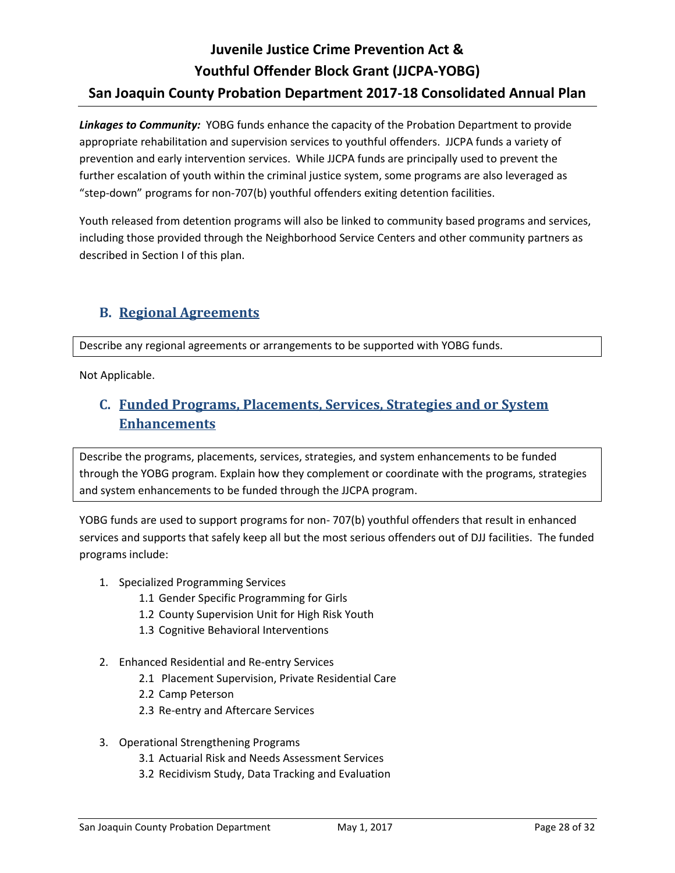*Linkages to Community:* YOBG funds enhance the capacity of the Probation Department to provide appropriate rehabilitation and supervision services to youthful offenders. JJCPA funds a variety of prevention and early intervention services. While JJCPA funds are principally used to prevent the further escalation of youth within the criminal justice system, some programs are also leveraged as "step-down" programs for non-707(b) youthful offenders exiting detention facilities.

Youth released from detention programs will also be linked to community based programs and services, including those provided through the Neighborhood Service Centers and other community partners as described in Section I of this plan.

# <span id="page-27-0"></span>**B. Regional Agreements**

Describe any regional agreements or arrangements to be supported with YOBG funds.

Not Applicable.

# <span id="page-27-1"></span>**C. Funded Programs, Placements, Services, Strategies and or System Enhancements**

Describe the programs, placements, services, strategies, and system enhancements to be funded through the YOBG program. Explain how they complement or coordinate with the programs, strategies and system enhancements to be funded through the JJCPA program.

YOBG funds are used to support programs for non- 707(b) youthful offenders that result in enhanced services and supports that safely keep all but the most serious offenders out of DJJ facilities. The funded programs include:

- 1. Specialized Programming Services
	- 1.1 Gender Specific Programming for Girls
	- 1.2 County Supervision Unit for High Risk Youth
	- 1.3 Cognitive Behavioral Interventions
- 2. Enhanced Residential and Re-entry Services
	- 2.1 Placement Supervision, Private Residential Care
	- 2.2 Camp Peterson
	- 2.3 Re-entry and Aftercare Services
- 3. Operational Strengthening Programs
	- 3.1 Actuarial Risk and Needs Assessment Services
	- 3.2 Recidivism Study, Data Tracking and Evaluation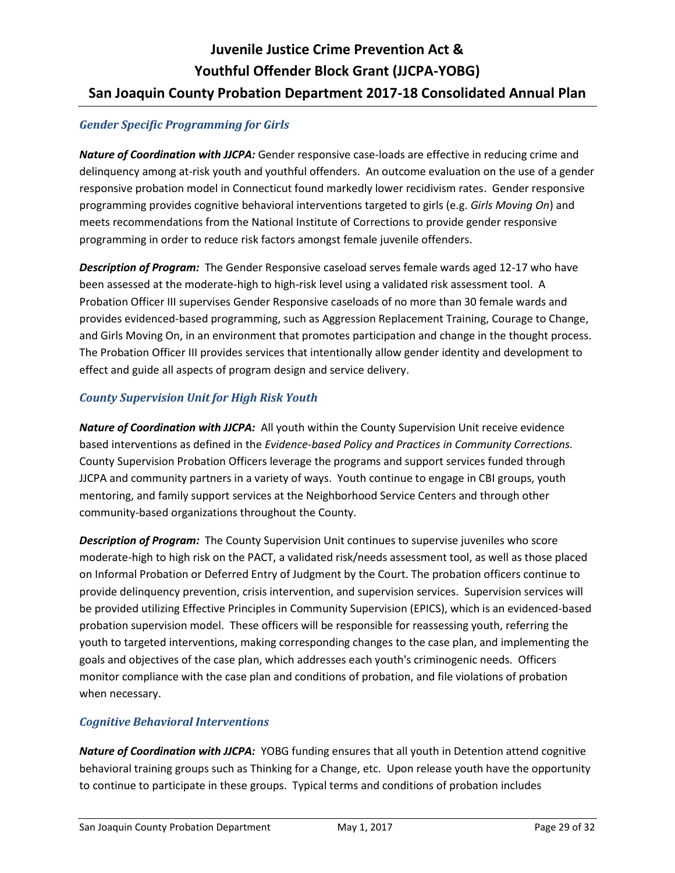## *Gender Specific Programming for Girls*

*Nature of Coordination with JJCPA:* Gender responsive case-loads are effective in reducing crime and delinquency among at-risk youth and youthful offenders. An outcome evaluation on the use of a gender responsive probation model in Connecticut found markedly lower recidivism rates. Gender responsive programming provides cognitive behavioral interventions targeted to girls (e.g. *Girls Moving On*) and meets recommendations from the National Institute of Corrections to provide gender responsive programming in order to reduce risk factors amongst female juvenile offenders.

*Description of Program:* The Gender Responsive caseload serves female wards aged 12-17 who have been assessed at the moderate-high to high-risk level using a validated risk assessment tool. A Probation Officer III supervises Gender Responsive caseloads of no more than 30 female wards and provides evidenced-based programming, such as Aggression Replacement Training, Courage to Change, and Girls Moving On, in an environment that promotes participation and change in the thought process. The Probation Officer III provides services that intentionally allow gender identity and development to effect and guide all aspects of program design and service delivery.

## *County Supervision Unit for High Risk Youth*

*Nature of Coordination with JJCPA:* All youth within the County Supervision Unit receive evidence based interventions as defined in the *Evidence-based Policy and Practices in Community Corrections.* County Supervision Probation Officers leverage the programs and support services funded through JJCPA and community partners in a variety of ways. Youth continue to engage in CBI groups, youth mentoring, and family support services at the Neighborhood Service Centers and through other community-based organizations throughout the County.

*Description of Program:* The County Supervision Unit continues to supervise juveniles who score moderate-high to high risk on the PACT, a validated risk/needs assessment tool, as well as those placed on Informal Probation or Deferred Entry of Judgment by the Court. The probation officers continue to provide delinquency prevention, crisis intervention, and supervision services. Supervision services will be provided utilizing Effective Principles in Community Supervision (EPICS), which is an evidenced-based probation supervision model. These officers will be responsible for reassessing youth, referring the youth to targeted interventions, making corresponding changes to the case plan, and implementing the goals and objectives of the case plan, which addresses each youth's criminogenic needs. Officers monitor compliance with the case plan and conditions of probation, and file violations of probation when necessary.

## *Cognitive Behavioral Interventions*

*Nature of Coordination with JJCPA:*YOBG funding ensures that all youth in Detention attend cognitive behavioral training groups such as Thinking for a Change, etc. Upon release youth have the opportunity to continue to participate in these groups. Typical terms and conditions of probation includes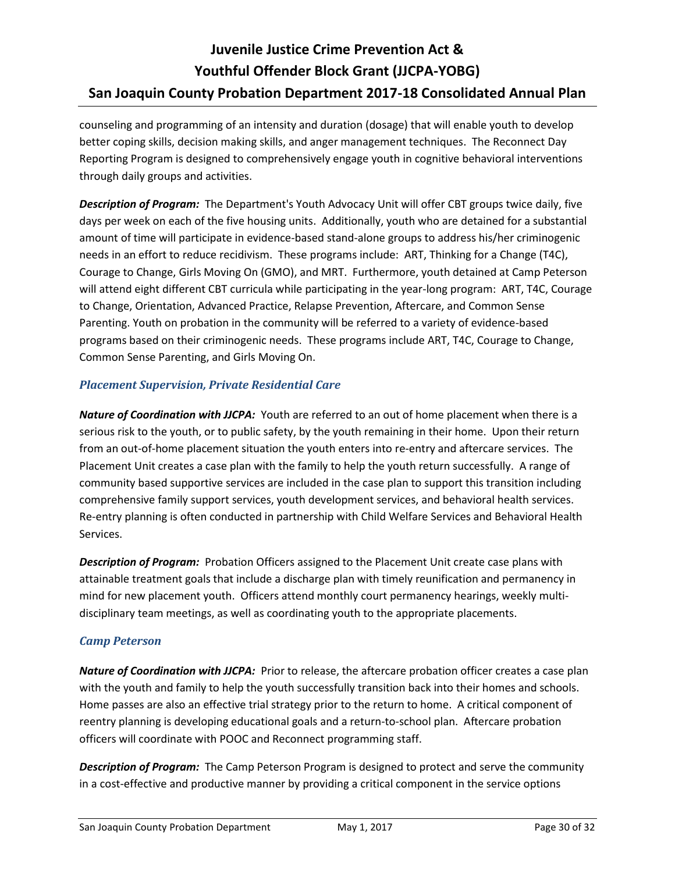counseling and programming of an intensity and duration (dosage) that will enable youth to develop better coping skills, decision making skills, and anger management techniques. The Reconnect Day Reporting Program is designed to comprehensively engage youth in cognitive behavioral interventions through daily groups and activities.

*Description of Program:* The Department's Youth Advocacy Unit will offer CBT groups twice daily, five days per week on each of the five housing units. Additionally, youth who are detained for a substantial amount of time will participate in evidence-based stand-alone groups to address his/her criminogenic needs in an effort to reduce recidivism. These programs include: ART, Thinking for a Change (T4C), Courage to Change, Girls Moving On (GMO), and MRT. Furthermore, youth detained at Camp Peterson will attend eight different CBT curricula while participating in the year-long program: ART, T4C, Courage to Change, Orientation, Advanced Practice, Relapse Prevention, Aftercare, and Common Sense Parenting. Youth on probation in the community will be referred to a variety of evidence-based programs based on their criminogenic needs. These programs include ART, T4C, Courage to Change, Common Sense Parenting, and Girls Moving On.

## *Placement Supervision, Private Residential Care*

*Nature of Coordination with JJCPA:*Youth are referred to an out of home placement when there is a serious risk to the youth, or to public safety, by the youth remaining in their home. Upon their return from an out-of-home placement situation the youth enters into re-entry and aftercare services. The Placement Unit creates a case plan with the family to help the youth return successfully. A range of community based supportive services are included in the case plan to support this transition including comprehensive family support services, youth development services, and behavioral health services. Re-entry planning is often conducted in partnership with Child Welfare Services and Behavioral Health Services.

*Description of Program:* Probation Officers assigned to the Placement Unit create case plans with attainable treatment goals that include a discharge plan with timely reunification and permanency in mind for new placement youth. Officers attend monthly court permanency hearings, weekly multidisciplinary team meetings, as well as coordinating youth to the appropriate placements.

## *Camp Peterson*

*Nature of Coordination with JJCPA:*Prior to release, the aftercare probation officer creates a case plan with the youth and family to help the youth successfully transition back into their homes and schools. Home passes are also an effective trial strategy prior to the return to home. A critical component of reentry planning is developing educational goals and a return-to-school plan. Aftercare probation officers will coordinate with POOC and Reconnect programming staff.

*Description of Program:* The Camp Peterson Program is designed to protect and serve the community in a cost-effective and productive manner by providing a critical component in the service options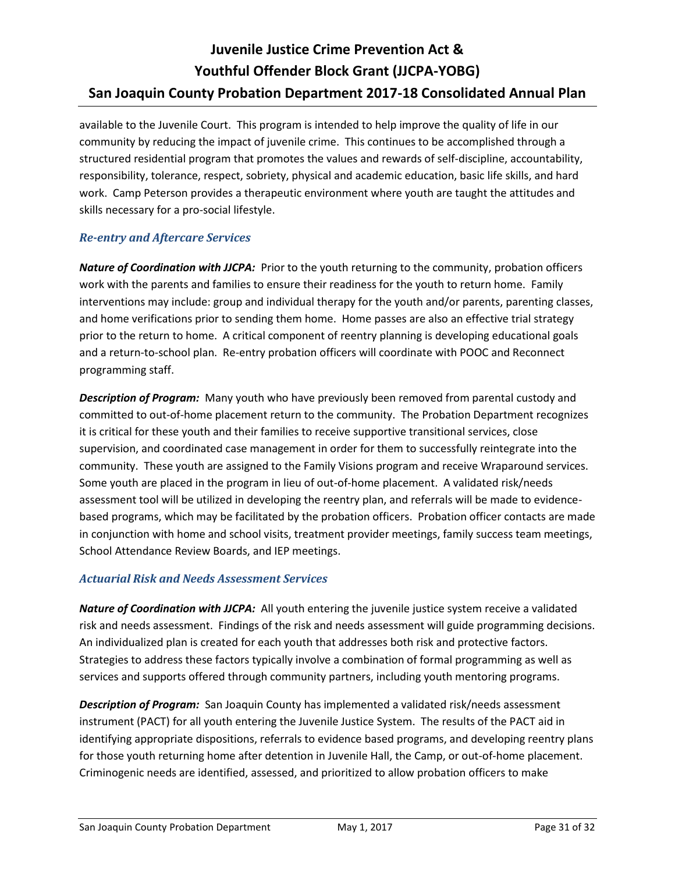available to the Juvenile Court. This program is intended to help improve the quality of life in our community by reducing the impact of juvenile crime. This continues to be accomplished through a structured residential program that promotes the values and rewards of self-discipline, accountability, responsibility, tolerance, respect, sobriety, physical and academic education, basic life skills, and hard work. Camp Peterson provides a therapeutic environment where youth are taught the attitudes and skills necessary for a pro-social lifestyle.

## *Re-entry and Aftercare Services*

*Nature of Coordination with JJCPA:* Prior to the youth returning to the community, probation officers work with the parents and families to ensure their readiness for the youth to return home. Family interventions may include: group and individual therapy for the youth and/or parents, parenting classes, and home verifications prior to sending them home. Home passes are also an effective trial strategy prior to the return to home. A critical component of reentry planning is developing educational goals and a return-to-school plan. Re-entry probation officers will coordinate with POOC and Reconnect programming staff.

*Description of Program:* Many youth who have previously been removed from parental custody and committed to out-of-home placement return to the community. The Probation Department recognizes it is critical for these youth and their families to receive supportive transitional services, close supervision, and coordinated case management in order for them to successfully reintegrate into the community. These youth are assigned to the Family Visions program and receive Wraparound services. Some youth are placed in the program in lieu of out-of-home placement. A validated risk/needs assessment tool will be utilized in developing the reentry plan, and referrals will be made to evidencebased programs, which may be facilitated by the probation officers. Probation officer contacts are made in conjunction with home and school visits, treatment provider meetings, family success team meetings, School Attendance Review Boards, and IEP meetings.

## *Actuarial Risk and Needs Assessment Services*

*Nature of Coordination with JJCPA:*All youth entering the juvenile justice system receive a validated risk and needs assessment. Findings of the risk and needs assessment will guide programming decisions. An individualized plan is created for each youth that addresses both risk and protective factors. Strategies to address these factors typically involve a combination of formal programming as well as services and supports offered through community partners, including youth mentoring programs.

**Description of Program:** San Joaquin County has implemented a validated risk/needs assessment instrument (PACT) for all youth entering the Juvenile Justice System. The results of the PACT aid in identifying appropriate dispositions, referrals to evidence based programs, and developing reentry plans for those youth returning home after detention in Juvenile Hall, the Camp, or out-of-home placement. Criminogenic needs are identified, assessed, and prioritized to allow probation officers to make